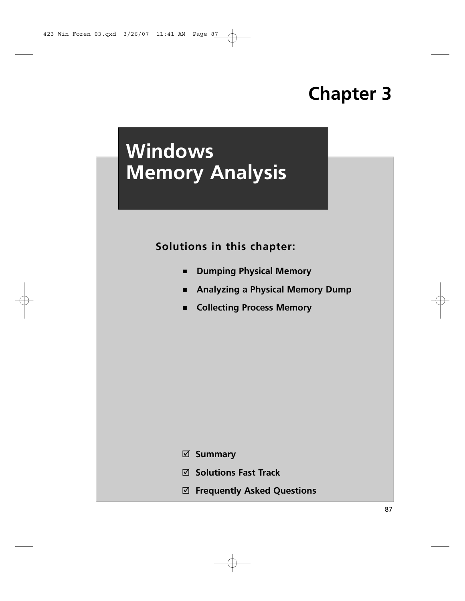# **Chapter 3**



### **Solutions in this chapter:**

- **Dumping Physical Memory**
- **Analyzing a Physical Memory Dump**
- **Collecting Process Memory**

- **Summary**
- **Solutions Fast Track**
- **Frequently Asked Questions**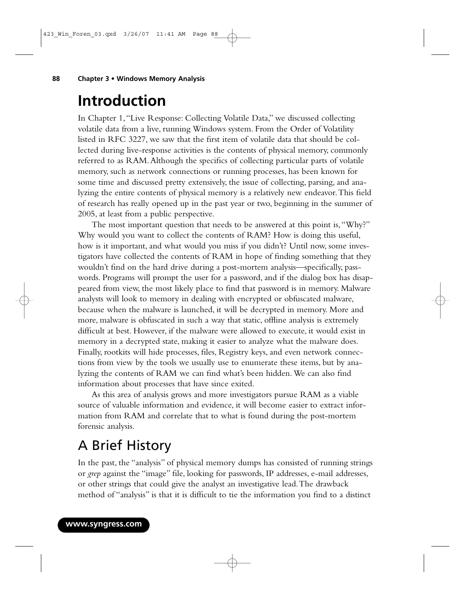# **Introduction**

In Chapter 1,"Live Response: Collecting Volatile Data," we discussed collecting volatile data from a live, running Windows system. From the Order of Volatility listed in RFC 3227, we saw that the first item of volatile data that should be collected during live-response activities is the contents of physical memory, commonly referred to as RAM.Although the specifics of collecting particular parts of volatile memory, such as network connections or running processes, has been known for some time and discussed pretty extensively, the issue of collecting, parsing, and analyzing the entire contents of physical memory is a relatively new endeavor.This field of research has really opened up in the past year or two, beginning in the summer of 2005, at least from a public perspective.

The most important question that needs to be answered at this point is,"Why?" Why would you want to collect the contents of RAM? How is doing this useful, how is it important, and what would you miss if you didn't? Until now, some investigators have collected the contents of RAM in hope of finding something that they wouldn't find on the hard drive during a post-mortem analysis—specifically, passwords. Programs will prompt the user for a password, and if the dialog box has disappeared from view, the most likely place to find that password is in memory. Malware analysts will look to memory in dealing with encrypted or obfuscated malware, because when the malware is launched, it will be decrypted in memory. More and more, malware is obfuscated in such a way that static, offline analysis is extremely difficult at best. However, if the malware were allowed to execute, it would exist in memory in a decrypted state, making it easier to analyze what the malware does. Finally, rootkits will hide processes, files, Registry keys, and even network connections from view by the tools we usually use to enumerate these items, but by analyzing the contents of RAM we can find what's been hidden. We can also find information about processes that have since exited.

As this area of analysis grows and more investigators pursue RAM as a viable source of valuable information and evidence, it will become easier to extract information from RAM and correlate that to what is found during the post-mortem forensic analysis.

# A Brief History

In the past, the "analysis" of physical memory dumps has consisted of running strings or *grep* against the "image" file, looking for passwords, IP addresses, e-mail addresses, or other strings that could give the analyst an investigative lead.The drawback method of "analysis" is that it is difficult to tie the information you find to a distinct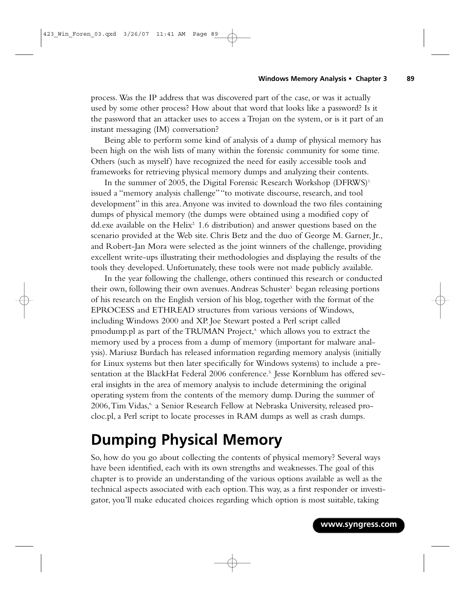process. Was the IP address that was discovered part of the case, or was it actually used by some other process? How about that word that looks like a password? Is it the password that an attacker uses to access a Trojan on the system, or is it part of an instant messaging (IM) conversation?

Being able to perform some kind of analysis of a dump of physical memory has been high on the wish lists of many within the forensic community for some time. Others (such as myself) have recognized the need for easily accessible tools and frameworks for retrieving physical memory dumps and analyzing their contents.

In the summer of 2005, the Digital Forensic Research Workshop (DFRWS)<sup>1.</sup> issued a "memory analysis challenge""to motivate discourse, research, and tool development" in this area.Anyone was invited to download the two files containing dumps of physical memory (the dumps were obtained using a modified copy of dd.exe available on the Helix<sup>2</sup> 1.6 distribution) and answer questions based on the scenario provided at the Web site. Chris Betz and the duo of George M. Garner, Jr., and Robert-Jan Mora were selected as the joint winners of the challenge, providing excellent write-ups illustrating their methodologies and displaying the results of the tools they developed. Unfortunately, these tools were not made publicly available.

In the year following the challenge, others continued this research or conducted their own, following their own avenues. Andreas Schuster<sup>3.</sup> began releasing portions of his research on the English version of his blog, together with the format of the EPROCESS and ETHREAD structures from various versions of Windows, including Windows 2000 and XP. Joe Stewart posted a Perl script called pmodump.pl as part of the TRUMAN Project,<sup>4</sup> which allows you to extract the memory used by a process from a dump of memory (important for malware analysis). Mariusz Burdach has released information regarding memory analysis (initially for Linux systems but then later specifically for Windows systems) to include a presentation at the BlackHat Federal 2006 conference.<sup>5.</sup> Jesse Kornblum has offered several insights in the area of memory analysis to include determining the original operating system from the contents of the memory dump. During the summer of 2006, Tim Vidas,<sup>6.</sup> a Senior Research Fellow at Nebraska University, released procloc.pl, a Perl script to locate processes in RAM dumps as well as crash dumps.

# **Dumping Physical Memory**

So, how do you go about collecting the contents of physical memory? Several ways have been identified, each with its own strengths and weaknesses.The goal of this chapter is to provide an understanding of the various options available as well as the technical aspects associated with each option.This way, as a first responder or investigator, you'll make educated choices regarding which option is most suitable, taking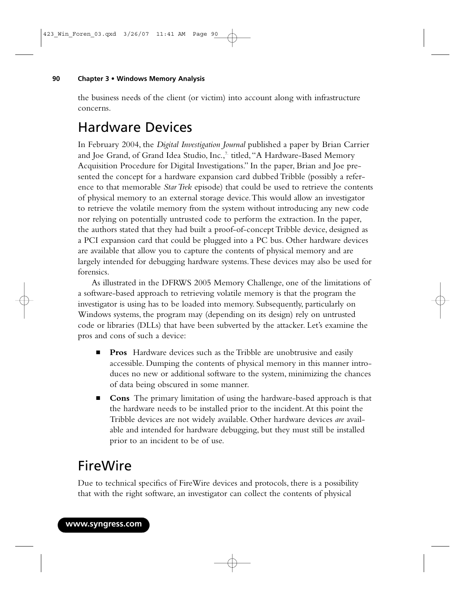the business needs of the client (or victim) into account along with infrastructure concerns.

## Hardware Devices

In February 2004, the *Digital Investigation Journal* published a paper by Brian Carrier and Joe Grand, of Grand Idea Studio, Inc.,<sup>7</sup> titled, "A Hardware-Based Memory Acquisition Procedure for Digital Investigations." In the paper, Brian and Joe presented the concept for a hardware expansion card dubbed Tribble (possibly a reference to that memorable *Star Trek* episode) that could be used to retrieve the contents of physical memory to an external storage device.This would allow an investigator to retrieve the volatile memory from the system without introducing any new code nor relying on potentially untrusted code to perform the extraction. In the paper, the authors stated that they had built a proof-of-concept Tribble device, designed as a PCI expansion card that could be plugged into a PC bus. Other hardware devices are available that allow you to capture the contents of physical memory and are largely intended for debugging hardware systems.These devices may also be used for forensics.

As illustrated in the DFRWS 2005 Memory Challenge, one of the limitations of a software-based approach to retrieving volatile memory is that the program the investigator is using has to be loaded into memory. Subsequently, particularly on Windows systems, the program may (depending on its design) rely on untrusted code or libraries (DLLs) that have been subverted by the attacker. Let's examine the pros and cons of such a device:

- **Pros** Hardware devices such as the Tribble are unobtrusive and easily accessible. Dumping the contents of physical memory in this manner introduces no new or additional software to the system, minimizing the chances of data being obscured in some manner.
- **Cons** The primary limitation of using the hardware-based approach is that the hardware needs to be installed prior to the incident.At this point the Tribble devices are not widely available. Other hardware devices *are* available and intended for hardware debugging, but they must still be installed prior to an incident to be of use.

# FireWire

Due to technical specifics of FireWire devices and protocols, there is a possibility that with the right software, an investigator can collect the contents of physical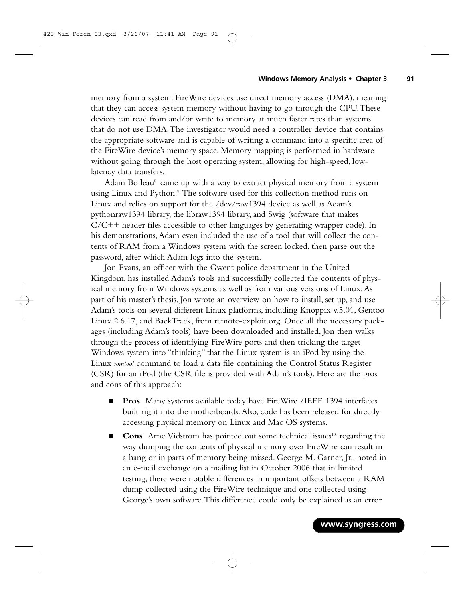memory from a system. FireWire devices use direct memory access (DMA), meaning that they can access system memory without having to go through the CPU.These devices can read from and/or write to memory at much faster rates than systems that do not use DMA.The investigator would need a controller device that contains the appropriate software and is capable of writing a command into a specific area of the FireWire device's memory space. Memory mapping is performed in hardware without going through the host operating system, allowing for high-speed, lowlatency data transfers.

Adam Boileau<sup>8</sup> came up with a way to extract physical memory from a system using Linux and Python.<sup>9</sup> The software used for this collection method runs on Linux and relies on support for the /dev/raw1394 device as well as Adam's pythonraw1394 library, the libraw1394 library, and Swig (software that makes  $C/C++$  header files accessible to other languages by generating wrapper code). In his demonstrations, Adam even included the use of a tool that will collect the contents of RAM from a Windows system with the screen locked, then parse out the password, after which Adam logs into the system.

Jon Evans, an officer with the Gwent police department in the United Kingdom, has installed Adam's tools and successfully collected the contents of physical memory from Windows systems as well as from various versions of Linux.As part of his master's thesis, Jon wrote an overview on how to install, set up, and use Adam's tools on several different Linux platforms, including Knoppix v.5.01, Gentoo Linux 2.6.17, and BackTrack, from remote-exploit.org. Once all the necessary packages (including Adam's tools) have been downloaded and installed, Jon then walks through the process of identifying FireWire ports and then tricking the target Windows system into "thinking" that the Linux system is an iPod by using the Linux *romtool* command to load a data file containing the Control Status Register (CSR) for an iPod (the CSR file is provided with Adam's tools). Here are the pros and cons of this approach:

- **Pros** Many systems available today have FireWire /IEEE 1394 interfaces built right into the motherboards.Also, code has been released for directly accessing physical memory on Linux and Mac OS systems.
- **Cons** Arne Vidstrom has pointed out some technical issues<sup>10.</sup> regarding the way dumping the contents of physical memory over FireWire can result in a hang or in parts of memory being missed. George M. Garner, Jr., noted in an e-mail exchange on a mailing list in October 2006 that in limited testing, there were notable differences in important offsets between a RAM dump collected using the FireWire technique and one collected using George's own software.This difference could only be explained as an error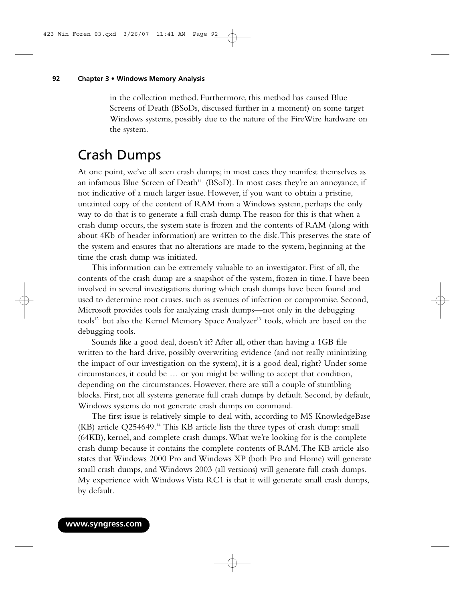in the collection method. Furthermore, this method has caused Blue Screens of Death (BSoDs, discussed further in a moment) on some target Windows systems, possibly due to the nature of the FireWire hardware on the system.

## Crash Dumps

At one point, we've all seen crash dumps; in most cases they manifest themselves as an infamous Blue Screen of Death<sup>11</sup>. (BSoD). In most cases they're an annoyance, if not indicative of a much larger issue. However, if you want to obtain a pristine, untainted copy of the content of RAM from a Windows system, perhaps the only way to do that is to generate a full crash dump.The reason for this is that when a crash dump occurs, the system state is frozen and the contents of RAM (along with about 4Kb of header information) are written to the disk.This preserves the state of the system and ensures that no alterations are made to the system, beginning at the time the crash dump was initiated.

This information can be extremely valuable to an investigator. First of all, the contents of the crash dump are a snapshot of the system, frozen in time. I have been involved in several investigations during which crash dumps have been found and used to determine root causes, such as avenues of infection or compromise. Second, Microsoft provides tools for analyzing crash dumps—not only in the debugging tools<sup>12.</sup> but also the Kernel Memory Space Analyzer<sup>13.</sup> tools, which are based on the debugging tools.

Sounds like a good deal, doesn't it? After all, other than having a 1GB file written to the hard drive, possibly overwriting evidence (and not really minimizing the impact of our investigation on the system), it is a good deal, right? Under some circumstances, it could be … or you might be willing to accept that condition, depending on the circumstances. However, there are still a couple of stumbling blocks. First, not all systems generate full crash dumps by default. Second, by default, Windows systems do not generate crash dumps on command.

The first issue is relatively simple to deal with, according to MS KnowledgeBase  $(KB)$  article Q254649.<sup>14</sup>. This KB article lists the three types of crash dump: small (64KB), kernel, and complete crash dumps. What we're looking for is the complete crash dump because it contains the complete contents of RAM.The KB article also states that Windows 2000 Pro and Windows XP (both Pro and Home) will generate small crash dumps, and Windows 2003 (all versions) will generate full crash dumps. My experience with Windows Vista RC1 is that it will generate small crash dumps, by default.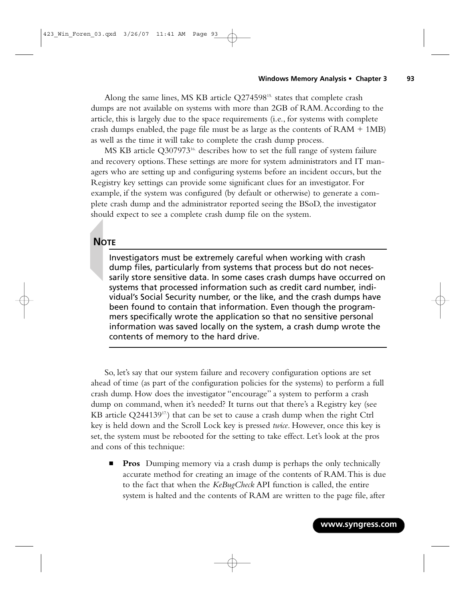Along the same lines, MS KB article Q274598<sup>15.</sup> states that complete crash dumps are not available on systems with more than 2GB of RAM.According to the article, this is largely due to the space requirements (i.e., for systems with complete crash dumps enabled, the page file must be as large as the contents of RAM + 1MB) as well as the time it will take to complete the crash dump process.

MS KB article  $Q307973^{16}$  describes how to set the full range of system failure and recovery options.These settings are more for system administrators and IT managers who are setting up and configuring systems before an incident occurs, but the Registry key settings can provide some significant clues for an investigator. For example, if the system was configured (by default or otherwise) to generate a complete crash dump and the administrator reported seeing the BSoD, the investigator should expect to see a complete crash dump file on the system.

#### **NOTE**

Investigators must be extremely careful when working with crash dump files, particularly from systems that process but do not necessarily store sensitive data. In some cases crash dumps have occurred on systems that processed information such as credit card number, individual's Social Security number, or the like, and the crash dumps have been found to contain that information. Even though the programmers specifically wrote the application so that no sensitive personal information was saved locally on the system, a crash dump wrote the contents of memory to the hard drive.

So, let's say that our system failure and recovery configuration options are set ahead of time (as part of the configuration policies for the systems) to perform a full crash dump. How does the investigator "encourage" a system to perform a crash dump on command, when it's needed? It turns out that there's a Registry key (see KB article Q24413917.) that can be set to cause a crash dump when the right Ctrl key is held down and the Scroll Lock key is pressed *twice*. However, once this key is set, the system must be rebooted for the setting to take effect. Let's look at the pros and cons of this technique:

■ **Pros** Dumping memory via a crash dump is perhaps the only technically accurate method for creating an image of the contents of RAM.This is due to the fact that when the *KeBugCheck* API function is called, the entire system is halted and the contents of RAM are written to the page file, after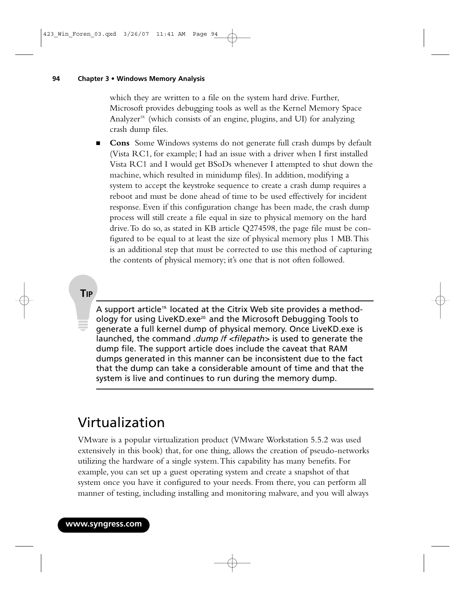#### **94 Chapter 3 • Windows Memory Analysis**

which they are written to a file on the system hard drive. Further, Microsoft provides debugging tools as well as the Kernel Memory Space Analyzer<sup>18</sup> (which consists of an engine, plugins, and UI) for analyzing crash dump files.

■ **Cons** Some Windows systems do not generate full crash dumps by default (Vista RC1, for example; I had an issue with a driver when I first installed Vista RC1 and I would get BSoDs whenever I attempted to shut down the machine, which resulted in minidump files). In addition, modifying a system to accept the keystroke sequence to create a crash dump requires a reboot and must be done ahead of time to be used effectively for incident response. Even if this configuration change has been made, the crash dump process will still create a file equal in size to physical memory on the hard drive.To do so, as stated in KB article Q274598, the page file must be configured to be equal to at least the size of physical memory plus 1 MB.This is an additional step that must be corrected to use this method of capturing the contents of physical memory; it's one that is not often followed.

#### **TIP**

A support article19. located at the Citrix Web site provides a methodology for using LiveKD.exe20. and the Microsoft Debugging Tools to generate a full kernel dump of physical memory. Once LiveKD.exe is launched, the command *.dump /f <filepath>* is used to generate the dump file. The support article does include the caveat that RAM dumps generated in this manner can be inconsistent due to the fact that the dump can take a considerable amount of time and that the system is live and continues to run during the memory dump.

# Virtualization

VMware is a popular virtualization product (VMware Workstation 5.5.2 was used extensively in this book) that, for one thing, allows the creation of pseudo-networks utilizing the hardware of a single system.This capability has many benefits. For example, you can set up a guest operating system and create a snapshot of that system once you have it configured to your needs. From there, you can perform all manner of testing, including installing and monitoring malware, and you will always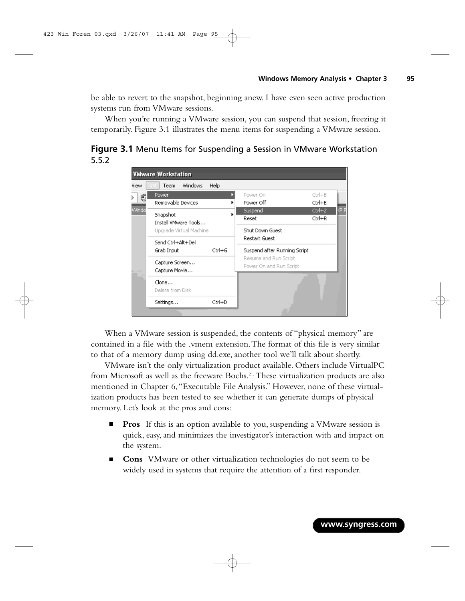be able to revert to the snapshot, beginning anew. I have even seen active production systems run from VMware sessions.

When you're running a VMware session, you can suspend that session, freezing it temporarily. Figure 3.1 illustrates the menu items for suspending a VMware session.

**Figure 3.1** Menu Items for Suspending a Session in VMware Workstation 5.5.2

| <b>VMware Workstation</b> |                                                                                                                                                                                                                                                                                                                                                                                                                           |      |          |        |  |  |  |
|---------------------------|---------------------------------------------------------------------------------------------------------------------------------------------------------------------------------------------------------------------------------------------------------------------------------------------------------------------------------------------------------------------------------------------------------------------------|------|----------|--------|--|--|--|
| View                      | <b>Windows</b><br>Team                                                                                                                                                                                                                                                                                                                                                                                                    | Help |          |        |  |  |  |
|                           | Power                                                                                                                                                                                                                                                                                                                                                                                                                     |      | Power On | Ctrl+B |  |  |  |
|                           | G<br>Removable Devices<br>Ctrl+E<br>Power Off<br>Ctrl+Z<br>Suspend<br>Snapshot<br>Ctrl+R<br>Reset<br>Install VMware Tools<br>Upgrade Virtual Machine<br>Shut Down Guest<br><b>Restart Guest</b><br>Send Ctrl+Alt+Del<br>Ctrl+G<br>Suspend after Running Script<br>Grab Input<br>Resume and Run Script<br>Capture Screen<br>Power On and Run Script<br>Capture Movie<br>$C$ lone<br>Delete from Disk<br>Ctrl+D<br>Settings |      |          |        |  |  |  |
| Windol                    |                                                                                                                                                                                                                                                                                                                                                                                                                           |      |          |        |  |  |  |
|                           |                                                                                                                                                                                                                                                                                                                                                                                                                           |      |          | (P P   |  |  |  |
|                           |                                                                                                                                                                                                                                                                                                                                                                                                                           |      |          |        |  |  |  |
|                           |                                                                                                                                                                                                                                                                                                                                                                                                                           |      |          |        |  |  |  |
|                           |                                                                                                                                                                                                                                                                                                                                                                                                                           |      |          |        |  |  |  |
|                           |                                                                                                                                                                                                                                                                                                                                                                                                                           |      |          |        |  |  |  |
|                           |                                                                                                                                                                                                                                                                                                                                                                                                                           |      |          |        |  |  |  |
|                           |                                                                                                                                                                                                                                                                                                                                                                                                                           |      |          |        |  |  |  |
|                           |                                                                                                                                                                                                                                                                                                                                                                                                                           |      |          |        |  |  |  |
|                           |                                                                                                                                                                                                                                                                                                                                                                                                                           |      |          |        |  |  |  |
|                           |                                                                                                                                                                                                                                                                                                                                                                                                                           |      |          |        |  |  |  |

When a VMware session is suspended, the contents of "physical memory" are contained in a file with the .vmem extension.The format of this file is very similar to that of a memory dump using dd.exe, another tool we'll talk about shortly.

VMware isn't the only virtualization product available. Others include VirtualPC from Microsoft as well as the freeware Bochs.21. These virtualization products are also mentioned in Chapter 6,"Executable File Analysis." However, none of these virtualization products has been tested to see whether it can generate dumps of physical memory. Let's look at the pros and cons:

- **Pros** If this is an option available to you, suspending a VMware session is quick, easy, and minimizes the investigator's interaction with and impact on the system.
- Cons VMware or other virtualization technologies do not seem to be widely used in systems that require the attention of a first responder.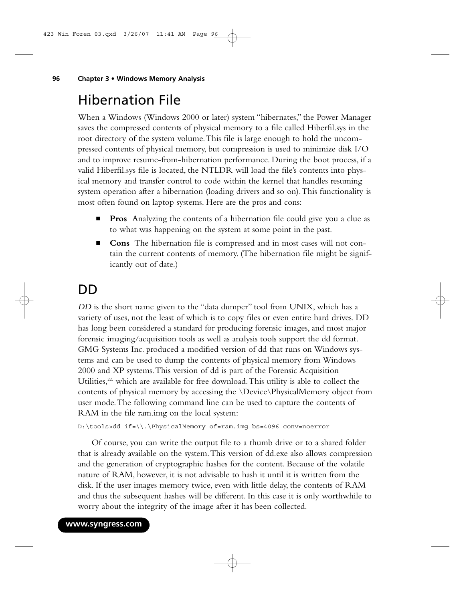# Hibernation File

When a Windows (Windows 2000 or later) system "hibernates," the Power Manager saves the compressed contents of physical memory to a file called Hiberfil.sys in the root directory of the system volume.This file is large enough to hold the uncompressed contents of physical memory, but compression is used to minimize disk I/O and to improve resume-from-hibernation performance. During the boot process, if a valid Hiberfil.sys file is located, the NTLDR will load the file's contents into physical memory and transfer control to code within the kernel that handles resuming system operation after a hibernation (loading drivers and so on).This functionality is most often found on laptop systems. Here are the pros and cons:

- **Pros** Analyzing the contents of a hibernation file could give you a clue as to what was happening on the system at some point in the past.
- **Cons** The hibernation file is compressed and in most cases will not contain the current contents of memory. (The hibernation file might be significantly out of date.)

# DD

*DD* is the short name given to the "data dumper" tool from UNIX, which has a variety of uses, not the least of which is to copy files or even entire hard drives. DD has long been considered a standard for producing forensic images, and most major forensic imaging/acquisition tools as well as analysis tools support the dd format. GMG Systems Inc. produced a modified version of dd that runs on Windows systems and can be used to dump the contents of physical memory from Windows 2000 and XP systems.This version of dd is part of the Forensic Acquisition Utilities, $2^2$  which are available for free download. This utility is able to collect the contents of physical memory by accessing the \Device\PhysicalMemory object from user mode.The following command line can be used to capture the contents of RAM in the file ram.img on the local system:

```
D:\tools>dd if=\\.\PhysicalMemory of=ram.img bs=4096 conv=noerror
```
Of course, you can write the output file to a thumb drive or to a shared folder that is already available on the system.This version of dd.exe also allows compression and the generation of cryptographic hashes for the content. Because of the volatile nature of RAM, however, it is not advisable to hash it until it is written from the disk. If the user images memory twice, even with little delay, the contents of RAM and thus the subsequent hashes will be different. In this case it is only worthwhile to worry about the integrity of the image after it has been collected.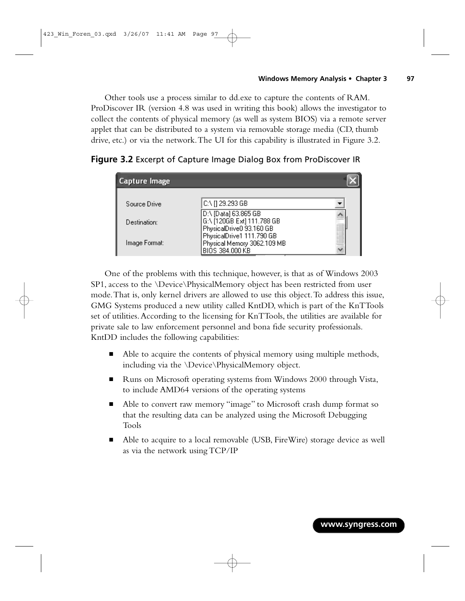Other tools use a process similar to dd.exe to capture the contents of RAM. ProDiscover IR (version 4.8 was used in writing this book) allows the investigator to collect the contents of physical memory (as well as system BIOS) via a remote server applet that can be distributed to a system via removable storage media (CD, thumb drive, etc.) or via the network.The UI for this capability is illustrated in Figure 3.2.

**Figure 3.2** Excerpt of Capture Image Dialog Box from ProDiscover IR

| Capture Image |                                                                                                             |  |  |  |  |
|---------------|-------------------------------------------------------------------------------------------------------------|--|--|--|--|
|               |                                                                                                             |  |  |  |  |
| Source Drive  | C:\[] 29.293 GB                                                                                             |  |  |  |  |
| Destination:  | D:\ [Data] 63.865 GB<br>G:\ [120GB Ext] 111.788 GB<br>PhysicalDrive0 93.160 GB<br>PhysicalDrive1 111.790 GB |  |  |  |  |
| Image Format: | Physical Memory 3062.109 MB<br>BIOS 384,000 KB                                                              |  |  |  |  |

One of the problems with this technique, however, is that as of Windows 2003 SP1, access to the \Device\PhysicalMemory object has been restricted from user mode.That is, only kernel drivers are allowed to use this object.To address this issue, GMG Systems produced a new utility called KntDD, which is part of the KnTTools set of utilities.According to the licensing for KnTTools, the utilities are available for private sale to law enforcement personnel and bona fide security professionals. KntDD includes the following capabilities:

- Able to acquire the contents of physical memory using multiple methods, including via the \Device\PhysicalMemory object.
- Runs on Microsoft operating systems from Windows 2000 through Vista, to include AMD64 versions of the operating systems
- Able to convert raw memory "image" to Microsoft crash dump format so that the resulting data can be analyzed using the Microsoft Debugging Tools
- Able to acquire to a local removable (USB, FireWire) storage device as well as via the network using TCP/IP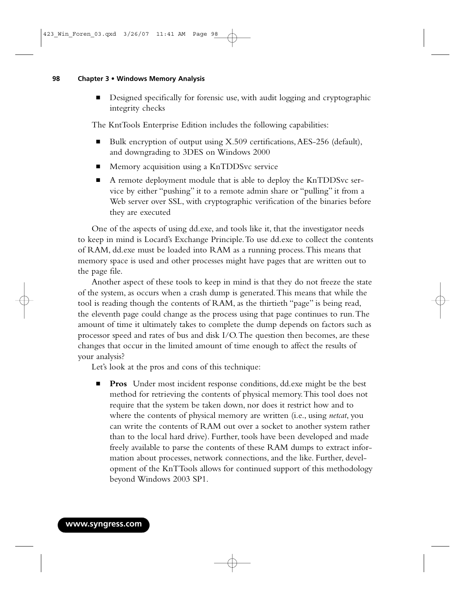Designed specifically for forensic use, with audit logging and cryptographic integrity checks

The KntTools Enterprise Edition includes the following capabilities:

- Bulk encryption of output using X.509 certifications, AES-256 (default), and downgrading to 3DES on Windows 2000
- Memory acquisition using a KnTDDSvc service
- A remote deployment module that is able to deploy the KnTDDSvc service by either "pushing" it to a remote admin share or "pulling" it from a Web server over SSL, with cryptographic verification of the binaries before they are executed

One of the aspects of using dd.exe, and tools like it, that the investigator needs to keep in mind is Locard's Exchange Principle.To use dd.exe to collect the contents of RAM, dd.exe must be loaded into RAM as a running process.This means that memory space is used and other processes might have pages that are written out to the page file.

Another aspect of these tools to keep in mind is that they do not freeze the state of the system, as occurs when a crash dump is generated.This means that while the tool is reading though the contents of RAM, as the thirtieth "page" is being read, the eleventh page could change as the process using that page continues to run.The amount of time it ultimately takes to complete the dump depends on factors such as processor speed and rates of bus and disk I/O.The question then becomes, are these changes that occur in the limited amount of time enough to affect the results of your analysis?

Let's look at the pros and cons of this technique:

■ **Pros** Under most incident response conditions, dd.exe might be the best method for retrieving the contents of physical memory.This tool does not require that the system be taken down, nor does it restrict how and to where the contents of physical memory are written (i.e., using *netcat*, you can write the contents of RAM out over a socket to another system rather than to the local hard drive). Further, tools have been developed and made freely available to parse the contents of these RAM dumps to extract information about processes, network connections, and the like. Further, development of the KnTTools allows for continued support of this methodology beyond Windows 2003 SP1.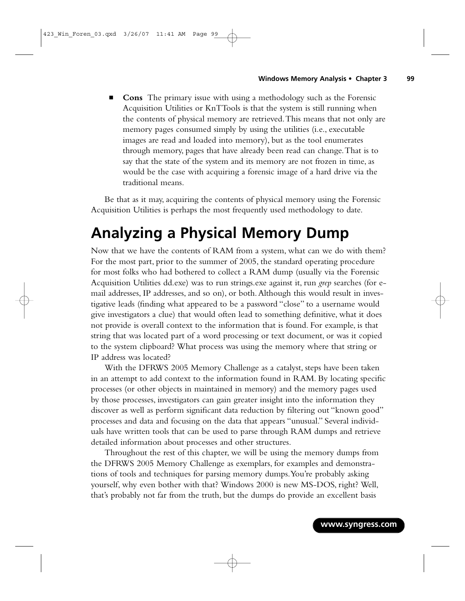■ **Cons** The primary issue with using a methodology such as the Forensic Acquisition Utilities or KnTTools is that the system is still running when the contents of physical memory are retrieved.This means that not only are memory pages consumed simply by using the utilities (i.e., executable images are read and loaded into memory), but as the tool enumerates through memory, pages that have already been read can change.That is to say that the state of the system and its memory are not frozen in time, as would be the case with acquiring a forensic image of a hard drive via the traditional means.

Be that as it may, acquiring the contents of physical memory using the Forensic Acquisition Utilities is perhaps the most frequently used methodology to date.

# **Analyzing a Physical Memory Dump**

Now that we have the contents of RAM from a system, what can we do with them? For the most part, prior to the summer of 2005, the standard operating procedure for most folks who had bothered to collect a RAM dump (usually via the Forensic Acquisition Utilities dd.exe) was to run strings.exe against it, run *grep* searches (for email addresses, IP addresses, and so on), or both.Although this would result in investigative leads (finding what appeared to be a password "close" to a username would give investigators a clue) that would often lead to something definitive, what it does not provide is overall context to the information that is found. For example, is that string that was located part of a word processing or text document, or was it copied to the system clipboard? What process was using the memory where that string or IP address was located?

With the DFRWS 2005 Memory Challenge as a catalyst, steps have been taken in an attempt to add context to the information found in RAM. By locating specific processes (or other objects in maintained in memory) and the memory pages used by those processes, investigators can gain greater insight into the information they discover as well as perform significant data reduction by filtering out "known good" processes and data and focusing on the data that appears "unusual." Several individuals have written tools that can be used to parse through RAM dumps and retrieve detailed information about processes and other structures.

Throughout the rest of this chapter, we will be using the memory dumps from the DFRWS 2005 Memory Challenge as exemplars, for examples and demonstrations of tools and techniques for parsing memory dumps.You're probably asking yourself, why even bother with that? Windows 2000 is new MS-DOS, right? Well, that's probably not far from the truth, but the dumps do provide an excellent basis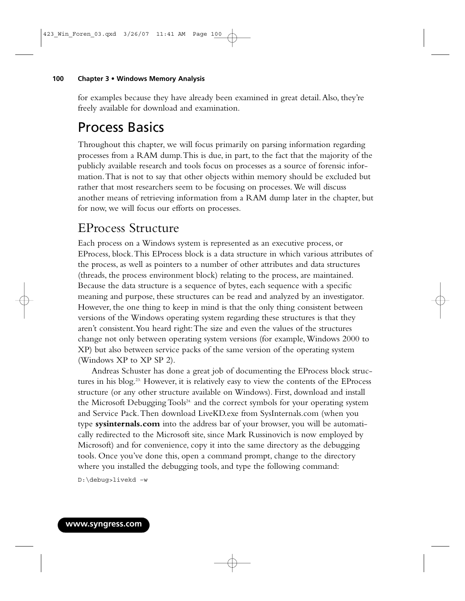for examples because they have already been examined in great detail.Also, they're freely available for download and examination.

## Process Basics

Throughout this chapter, we will focus primarily on parsing information regarding processes from a RAM dump.This is due, in part, to the fact that the majority of the publicly available research and tools focus on processes as a source of forensic information.That is not to say that other objects within memory should be excluded but rather that most researchers seem to be focusing on processes. We will discuss another means of retrieving information from a RAM dump later in the chapter, but for now, we will focus our efforts on processes.

### EProcess Structure

Each process on a Windows system is represented as an executive process, or EProcess, block.This EProcess block is a data structure in which various attributes of the process, as well as pointers to a number of other attributes and data structures (threads, the process environment block) relating to the process, are maintained. Because the data structure is a sequence of bytes, each sequence with a specific meaning and purpose, these structures can be read and analyzed by an investigator. However, the one thing to keep in mind is that the only thing consistent between versions of the Windows operating system regarding these structures is that they aren't consistent.You heard right:The size and even the values of the structures change not only between operating system versions (for example, Windows 2000 to XP) but also between service packs of the same version of the operating system (Windows XP to XP SP 2).

Andreas Schuster has done a great job of documenting the EProcess block structures in his blog.<sup>23</sup>. However, it is relatively easy to view the contents of the EProcess structure (or any other structure available on Windows). First, download and install the Microsoft Debugging Tools<sup>24</sup> and the correct symbols for your operating system and Service Pack.Then download LiveKD.exe from SysInternals.com (when you type **sysinternals.com** into the address bar of your browser, you will be automatically redirected to the Microsoft site, since Mark Russinovich is now employed by Microsoft) and for convenience, copy it into the same directory as the debugging tools. Once you've done this, open a command prompt, change to the directory where you installed the debugging tools, and type the following command:

D:\debug>livekd –w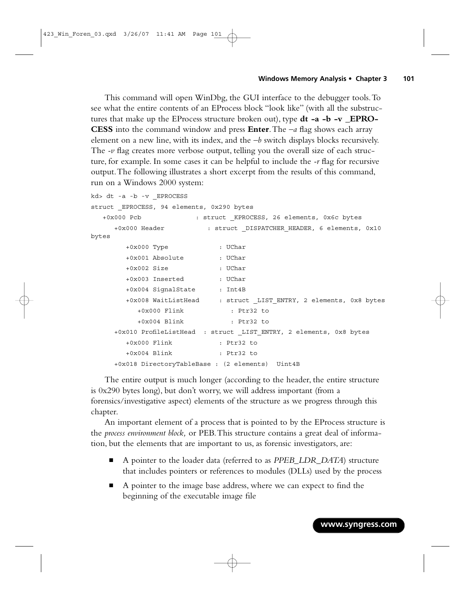This command will open WinDbg, the GUI interface to the debugger tools.To see what the entire contents of an EProcess block "look like" (with all the substructures that make up the EProcess structure broken out), type **dt -a -b -v \_EPRO-CESS** into the command window and press **Enter**.The *–a* flag shows each array element on a new line, with its index, and the *–b* switch displays blocks recursively. The *-v* flag creates more verbose output, telling you the overall size of each structure, for example. In some cases it can be helpful to include the *-r* flag for recursive output.The following illustrates a short excerpt from the results of this command, run on a Windows 2000 system:

```
kd> dt -a -b -v _EPROCESS
struct EPROCESS, 94 elements, 0x290 bytes
  +0x000 Pcb : struct _KPROCESS, 26 elements, 0x6c bytes
    +0x000 Header : struct _DISPATCHER_HEADER, 6 elements, 0x10
bytes
       +0x000 Type : UChar
       +0x001 Absolute : UChar
       +0x002 Size : UChar
       +0x003 Inserted : UChar
       +0x004 SignalState : Int4B
       +0x008 WaitListHead : struct _LIST_ENTRY, 2 elements, 0x8 bytes
         +0x000 Flink : Ptr32 to
         +0x004 Blink : Ptr32 to
     +0x010 ProfileListHead : struct _LIST_ENTRY, 2 elements, 0x8 bytes
       +0x000 Flink : Ptr32 to
       +0x004 Blink : Ptr32 to
     +0x018 DirectoryTableBase : (2 elements) Uint4B
```
The entire output is much longer (according to the header, the entire structure is 0x290 bytes long), but don't worry, we will address important (from a forensics/investigative aspect) elements of the structure as we progress through this chapter.

An important element of a process that is pointed to by the EProcess structure is the *process environment block,* or PEB.This structure contains a great deal of information, but the elements that are important to us, as forensic investigators, are:

- A pointer to the loader data (referred to as *PPEB\_LDR\_DATA*) structure that includes pointers or references to modules (DLLs) used by the process
- A pointer to the image base address, where we can expect to find the beginning of the executable image file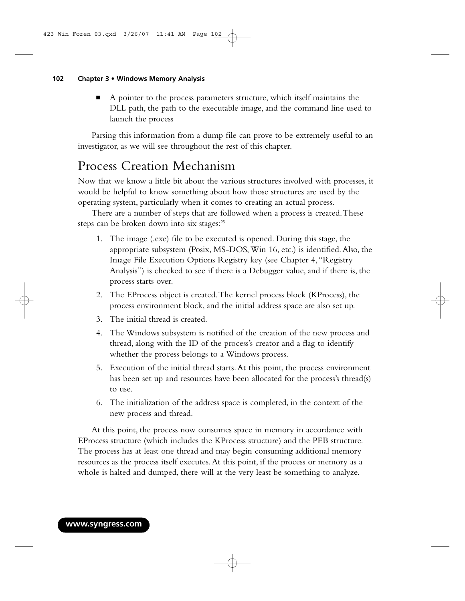A pointer to the process parameters structure, which itself maintains the DLL path, the path to the executable image, and the command line used to launch the process

Parsing this information from a dump file can prove to be extremely useful to an investigator, as we will see throughout the rest of this chapter.

### Process Creation Mechanism

Now that we know a little bit about the various structures involved with processes, it would be helpful to know something about how those structures are used by the operating system, particularly when it comes to creating an actual process.

There are a number of steps that are followed when a process is created.These steps can be broken down into six stages:<sup>25</sup>.

- 1. The image (.exe) file to be executed is opened. During this stage, the appropriate subsystem (Posix, MS-DOS, Win 16, etc.) is identified.Also, the Image File Execution Options Registry key (see Chapter 4,"Registry Analysis") is checked to see if there is a Debugger value, and if there is, the process starts over.
- 2. The EProcess object is created.The kernel process block (KProcess), the process environment block, and the initial address space are also set up.
- 3. The initial thread is created.
- 4. The Windows subsystem is notified of the creation of the new process and thread, along with the ID of the process's creator and a flag to identify whether the process belongs to a Windows process.
- 5. Execution of the initial thread starts.At this point, the process environment has been set up and resources have been allocated for the process's thread(s) to use.
- 6. The initialization of the address space is completed, in the context of the new process and thread.

At this point, the process now consumes space in memory in accordance with EProcess structure (which includes the KProcess structure) and the PEB structure. The process has at least one thread and may begin consuming additional memory resources as the process itself executes.At this point, if the process or memory as a whole is halted and dumped, there will at the very least be something to analyze.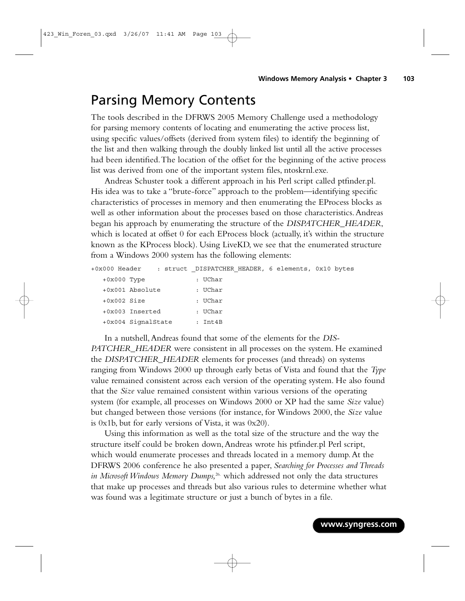## Parsing Memory Contents

The tools described in the DFRWS 2005 Memory Challenge used a methodology for parsing memory contents of locating and enumerating the active process list, using specific values/offsets (derived from system files) to identify the beginning of the list and then walking through the doubly linked list until all the active processes had been identified.The location of the offset for the beginning of the active process list was derived from one of the important system files, ntoskrnl.exe.

Andreas Schuster took a different approach in his Perl script called ptfinder.pl. His idea was to take a "brute-force" approach to the problem—identifying specific characteristics of processes in memory and then enumerating the EProcess blocks as well as other information about the processes based on those characteristics.Andreas began his approach by enumerating the structure of the *DISPATCHER\_HEADER*, which is located at offset 0 for each EProcess block (actually, it's within the structure known as the KProcess block). Using LiveKD, we see that the enumerated structure from a Windows 2000 system has the following elements:

```
+0x000 Header : struct DISPATCHER HEADER, 6 elements, 0x10 bytes
  +0x000 Type : UChar
  +0x001 Absolute : UChar
  +0x002 Size : UChar
  +0x003 Inserted : UChar
  +0x004 SignalState : Int4B
```
In a nutshell,Andreas found that some of the elements for the *DIS-PATCHER\_HEADER* were consistent in all processes on the system. He examined the *DISPATCHER\_HEADER* elements for processes (and threads) on systems ranging from Windows 2000 up through early betas of Vista and found that the *Type* value remained consistent across each version of the operating system. He also found that the *Size* value remained consistent within various versions of the operating system (for example, all processes on Windows 2000 or XP had the same *Size* value) but changed between those versions (for instance, for Windows 2000, the *Size* value is 0x1b, but for early versions of Vista, it was 0x20).

Using this information as well as the total size of the structure and the way the structure itself could be broken down,Andreas wrote his ptfinder.pl Perl script, which would enumerate processes and threads located in a memory dump.At the DFRWS 2006 conference he also presented a paper, *Searching for Processes and Threads in Microsoft Windows Memory Dumps,*26. which addressed not only the data structures that make up processes and threads but also various rules to determine whether what was found was a legitimate structure or just a bunch of bytes in a file.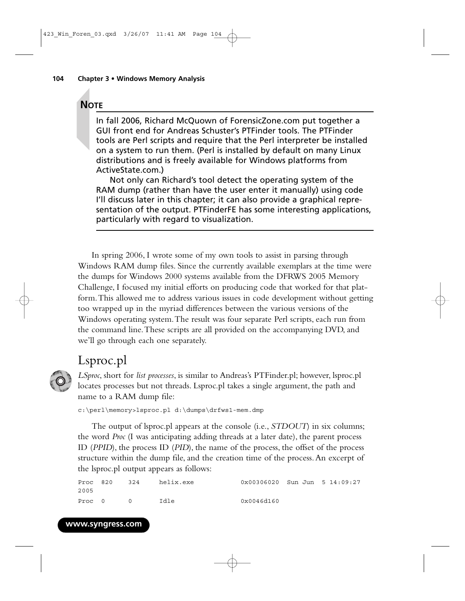#### **NOTE**

In fall 2006, Richard McQuown of ForensicZone.com put together a GUI front end for Andreas Schuster's PTFinder tools. The PTFinder tools are Perl scripts and require that the Perl interpreter be installed on a system to run them. (Perl is installed by default on many Linux distributions and is freely available for Windows platforms from ActiveState.com.)

Not only can Richard's tool detect the operating system of the RAM dump (rather than have the user enter it manually) using code I'll discuss later in this chapter; it can also provide a graphical representation of the output. PTFinderFE has some interesting applications, particularly with regard to visualization.

In spring 2006, I wrote some of my own tools to assist in parsing through Windows RAM dump files. Since the currently available exemplars at the time were the dumps for Windows 2000 systems available from the DFRWS 2005 Memory Challenge, I focused my initial efforts on producing code that worked for that platform.This allowed me to address various issues in code development without getting too wrapped up in the myriad differences between the various versions of the Windows operating system.The result was four separate Perl scripts, each run from the command line.These scripts are all provided on the accompanying DVD, and we'll go through each one separately.

### Lsproc.pl

*LSproc*, short for *list processes*, is similar to Andreas's PTFinder.pl; however, lsproc.pl locates processes but not threads. Lsproc.pl takes a single argument, the path and name to a RAM dump file:

c:\perl\memory>lsproc.pl d:\dumps\drfws1-mem.dmp

The output of lsproc.pl appears at the console (i.e., *STDOUT*) in six columns; the word *Proc* (I was anticipating adding threads at a later date), the parent process ID (*PPID*), the process ID (*PID*), the name of the process, the offset of the process structure within the dump file, and the creation time of the process.An excerpt of the lsproc.pl output appears as follows:

| Proc 820 | 324    | helix.exe | 0x00306020 Sun Jun 5 14:09:27 |  |
|----------|--------|-----------|-------------------------------|--|
| 2005     |        |           |                               |  |
| Proc 0   | $\cap$ | Idle      | 0x0046d160                    |  |

#### **www.syngress.com**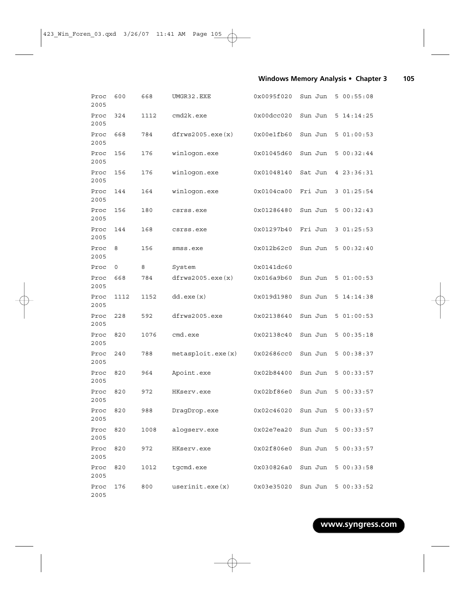| Proc<br>2005 | 600  | 668  | UMGR32.EXE        | 0x0095f020 | Sun Jun | 500:55:08  |
|--------------|------|------|-------------------|------------|---------|------------|
| Proc<br>2005 | 324  | 1112 | cmd2k.exe         | 0x00dcc020 | Sun Jun | 5 14:14:25 |
| Proc<br>2005 | 668  | 784  | dfrws2005.exe(x)  | 0x00e1fb60 | Sun Jun | 501:00:53  |
| Proc<br>2005 | 156  | 176  | winlogon.exe      | 0x01045d60 | Sun Jun | 500:32:44  |
| Proc<br>2005 | 156  | 176  | winlogon.exe      | 0x01048140 | Sat Jun | 4 23:36:31 |
| Proc<br>2005 | 144  | 164  | winlogon.exe      | 0x0104ca00 | Fri Jun | 301:25:54  |
| Proc<br>2005 | 156  | 180  | csrss.exe         | 0x01286480 | Sun Jun | 500:32:43  |
| Proc<br>2005 | 144  | 168  | csrss.exe         | 0x01297b40 | Fri Jun | 301:25:53  |
| Proc<br>2005 | 8    | 156  | smss.exe          | 0x012b62c0 | Sun Jun | 500:32:40  |
| Proc         | 0    | 8    | System            | 0x0141dc60 |         |            |
| Proc<br>2005 | 668  | 784  | dfrws2005.exe(x)  | 0x016a9b60 | Sun Jun | 501:00:53  |
| Proc<br>2005 | 1112 | 1152 | dd.exe(x)         | 0x019d1980 | Sun Jun | 5 14:14:38 |
| Proc<br>2005 | 228  | 592  | dfrws2005.exe     | 0x02138640 | Sun Jun | 501:00:53  |
| Proc<br>2005 | 820  | 1076 | cmd.exe           | 0x02138c40 | Sun Jun | 500:35:18  |
| Proc<br>2005 | 240  | 788  | metasploit.exe(x) | 0x02686cc0 | Sun Jun | 500:38:37  |
| Proc<br>2005 | 820  | 964  | Apoint.exe        | 0x02b84400 | Sun Jun | 500:33:57  |
| Proc<br>2005 | 820  | 972  | HKserv.exe        | 0x02bf86e0 | Sun Jun | 500:33:57  |
| Proc<br>2005 | 820  | 988  | DragDrop.exe      | 0x02c46020 | Sun Jun | 500:33:57  |
| Proc<br>2005 | 820  | 1008 | alogserv.exe      | 0x02e7ea20 | Sun Jun | 500:33:57  |
| Proc<br>2005 | 820  | 972  | HKserv.exe        | 0x02f806e0 | Sun Jun | 500:33:57  |
| Proc<br>2005 | 820  | 1012 | tqcmd.exe         | 0x030826a0 | Sun Jun | 500:33:58  |
| Proc<br>2005 | 176  | 800  | userinit.exe(x)   | 0x03e35020 | Sun Jun | 500:33:52  |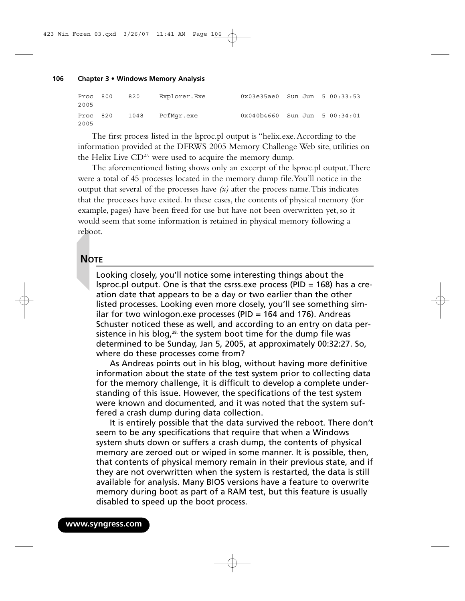| Proc 800<br>2005 | 820  | Explorer.Exe | 0x03e35ae0 Sun Jun 5 00:33:53 |  |
|------------------|------|--------------|-------------------------------|--|
| Proc 820<br>2005 | 1048 | PcfMqr.exe   | 0x040b4660 Sun Jun 5 00:34:01 |  |

The first process listed in the lsproc.pl output is "helix.exe.According to the information provided at the DFRWS 2005 Memory Challenge Web site, utilities on the Helix Live CD<sup>27.</sup> were used to acquire the memory dump.

The aforementioned listing shows only an excerpt of the lsproc.pl output.There were a total of 45 processes located in the memory dump file.You'll notice in the output that several of the processes have *(x)* after the process name.This indicates that the processes have exited. In these cases, the contents of physical memory (for example, pages) have been freed for use but have not been overwritten yet, so it would seem that some information is retained in physical memory following a reboot.

#### **NOTE**

Looking closely, you'll notice some interesting things about the Isproc.pl output. One is that the csrss.exe process (PID =  $168$ ) has a creation date that appears to be a day or two earlier than the other listed processes. Looking even more closely, you'll see something similar for two winlogon.exe processes (PID  $=$  164 and 176). Andreas Schuster noticed these as well, and according to an entry on data persistence in his blog, $28$  the system boot time for the dump file was determined to be Sunday, Jan 5, 2005, at approximately 00:32:27. So, where do these processes come from?

As Andreas points out in his blog, without having more definitive information about the state of the test system prior to collecting data for the memory challenge, it is difficult to develop a complete understanding of this issue. However, the specifications of the test system were known and documented, and it was noted that the system suffered a crash dump during data collection.

It is entirely possible that the data survived the reboot. There don't seem to be any specifications that require that when a Windows system shuts down or suffers a crash dump, the contents of physical memory are zeroed out or wiped in some manner. It is possible, then, that contents of physical memory remain in their previous state, and if they are not overwritten when the system is restarted, the data is still available for analysis. Many BIOS versions have a feature to overwrite memory during boot as part of a RAM test, but this feature is usually disabled to speed up the boot process.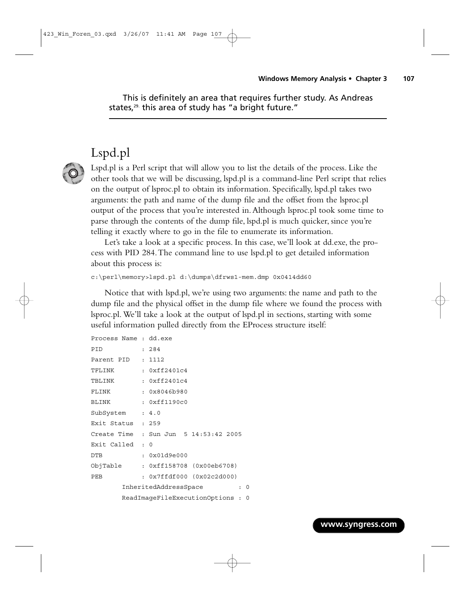This is definitely an area that requires further study. As Andreas states,<sup>29.</sup> this area of study has "a bright future."

### Lspd.pl



Lspd.pl is a Perl script that will allow you to list the details of the process. Like the other tools that we will be discussing, lspd.pl is a command-line Perl script that relies on the output of lsproc.pl to obtain its information. Specifically, lspd.pl takes two arguments: the path and name of the dump file and the offset from the lsproc.pl output of the process that you're interested in.Although lsproc.pl took some time to parse through the contents of the dump file, lspd.pl is much quicker, since you're telling it exactly where to go in the file to enumerate its information.

Let's take a look at a specific process. In this case, we'll look at dd.exe, the process with PID 284.The command line to use lspd.pl to get detailed information about this process is:

```
c:\perl\memory>lspd.pl d:\dumps\dfrws1-mem.dmp 0x0414dd60
```
Notice that with lspd.pl, we're using two arguments: the name and path to the dump file and the physical offset in the dump file where we found the process with lsproc.pl. We'll take a look at the output of lspd.pl in sections, starting with some useful information pulled directly from the EProcess structure itself:

| Process Name : dd.exe |                       |                                       |          |
|-----------------------|-----------------------|---------------------------------------|----------|
| PID                   | : 284                 |                                       |          |
| Parent PID : 1112     |                       |                                       |          |
| TFLINK                | : 0xff2401c4          |                                       |          |
| TBLINK : 0xff2401c4   |                       |                                       |          |
| FLINK                 | : 0x8046b980          |                                       |          |
| BLINK                 | : 0xff1190c0          |                                       |          |
| SubSystem : 4.0       |                       |                                       |          |
| Exit Status : 259     |                       |                                       |          |
|                       |                       | Create Time : Sun Jun 5 14:53:42 2005 |          |
| Exit Called $: 0$     |                       |                                       |          |
| DTB.                  | : 0x01d9e000          |                                       |          |
| ObjTable              |                       | : 0xff158708 (0x00eb6708)             |          |
| PEB                   |                       | : 0x7ffdf000 (0x02c2d000)             |          |
|                       | InheritedAddressSpace | $\ddot{\phantom{a}}$                  | $\Omega$ |
|                       |                       | ReadImageFileExecutionOptions : 0     |          |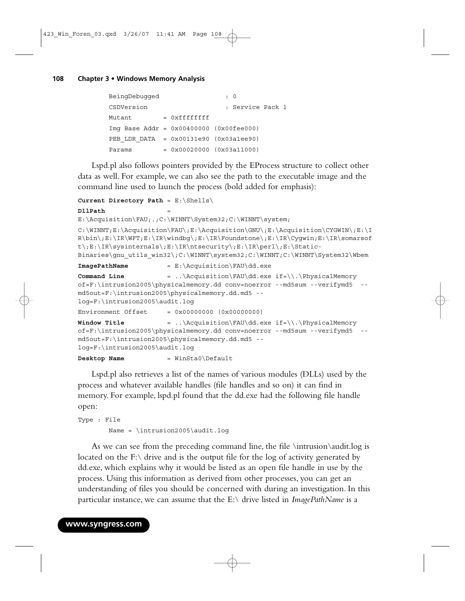```
BeingDebugged : 0
CSDVersion : Service Pack 1
Mutant = 0xffffffff
Img Base Addr = 0x00400000 (0x00fee000)
PEB_LDR_DATA = 0x00131e90 (0x03a1ee90)
Params = 0x00020000 (0x03a11000)
```
Lspd.pl also follows pointers provided by the EProcess structure to collect other data as well. For example, we can also see the path to the executable image and the command line used to launch the process (bold added for emphasis):

```
Current Directory Path = E:\Shells\
DllPath =
E:\Acquisition\FAU;.;C:\WINNT\System32;C:\WINNT\system;
C:\WINNT;E:\Acquisition\FAU\;E:\Acquisition\GNU\;E:\Acquisition\CYGWIN\;E:\I
R\bin\;E:\IR\WFT;E:\IR\windbg\;E:\IR\Foundstone\;E:\IR\Cygwin;E:\IR\somarsof
t\;E:\IR\sysinternals\;E:\IR\ntsecurity\;E:\IR\perl\;E:\Static-
Binaries\gnu_utils_win32\;C:\WINNT\system32;C:\WINNT;C:\WINNT\System32\Wbem
ImagePathName = E:\Acquisition\FAU\dd.exe
Command Line = ..\Acquisition\FAU\dd.exe if=\\.\PhysicalMemory
of=F:\intrusion2005\physicalmemory.dd conv=noerror --md5sum --verifymd5 --
md5out=F:\intrusion2005\physicalmemory.dd.md5 --
log=F:\intrusion2005\audit.log
Environment Offset = 0x00000000 (0x00000000)
Window Title = ..\Acquisition\FAU\dd.exe if=\\.\PhysicalMemory
of=F:\intrusion2005\physicalmemory.dd conv=noerror --md5sum --verifymd5 --
md5out=F:\intrusion2005\physicalmemory.dd.md5 --
log=F:\intrusion2005\audit.log
Desktop Name = WinSta0\Default
```
Lspd.pl also retrieves a list of the names of various modules (DLLs) used by the process and whatever available handles (file handles and so on) it can find in memory. For example, lspd.pl found that the dd.exe had the following file handle open:

```
Type : File
        Name = \intrusion2005\audit.log
```
As we can see from the preceding command line, the file \intrusion\audit.log is located on the F:\ drive and is the output file for the log of activity generated by dd.exe, which explains why it would be listed as an open file handle in use by the process. Using this information as derived from other processes, you can get an understanding of files you should be concerned with during an investigation. In this particular instance, we can assume that the E:\ drive listed in *ImagePathName* is a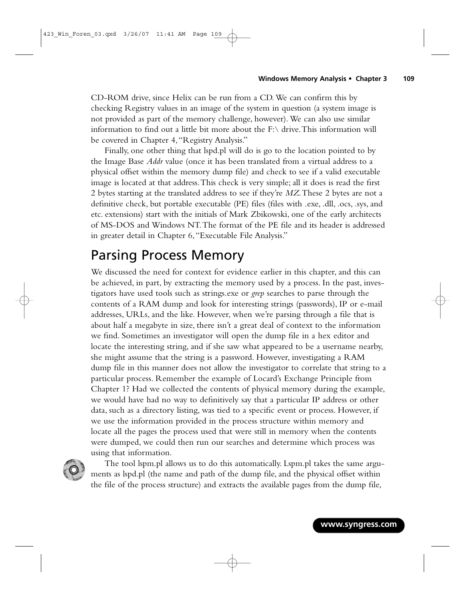CD-ROM drive, since Helix can be run from a CD. We can confirm this by checking Registry values in an image of the system in question (a system image is not provided as part of the memory challenge, however). We can also use similar information to find out a little bit more about the F:\ drive.This information will be covered in Chapter 4,"Registry Analysis."

Finally, one other thing that lspd.pl will do is go to the location pointed to by the Image Base *Addr* value (once it has been translated from a virtual address to a physical offset within the memory dump file) and check to see if a valid executable image is located at that address.This check is very simple; all it does is read the first 2 bytes starting at the translated address to see if they're *MZ*.These 2 bytes are not a definitive check, but portable executable (PE) files (files with .exe, .dll, .ocs, .sys, and etc. extensions) start with the initials of Mark Zbikowski, one of the early architects of MS-DOS and Windows NT.The format of the PE file and its header is addressed in greater detail in Chapter 6,"Executable File Analysis."

## Parsing Process Memory

We discussed the need for context for evidence earlier in this chapter, and this can be achieved, in part, by extracting the memory used by a process. In the past, investigators have used tools such as strings.exe or *grep* searches to parse through the contents of a RAM dump and look for interesting strings (passwords), IP or e-mail addresses, URLs, and the like. However, when we're parsing through a file that is about half a megabyte in size, there isn't a great deal of context to the information we find. Sometimes an investigator will open the dump file in a hex editor and locate the interesting string, and if she saw what appeared to be a username nearby, she might assume that the string is a password. However, investigating a RAM dump file in this manner does not allow the investigator to correlate that string to a particular process. Remember the example of Locard's Exchange Principle from Chapter 1? Had we collected the contents of physical memory during the example, we would have had no way to definitively say that a particular IP address or other data, such as a directory listing, was tied to a specific event or process. However, if we use the information provided in the process structure within memory and locate all the pages the process used that were still in memory when the contents were dumped, we could then run our searches and determine which process was using that information.



The tool lspm.pl allows us to do this automatically. Lspm.pl takes the same arguments as lspd.pl (the name and path of the dump file, and the physical offset within the file of the process structure) and extracts the available pages from the dump file,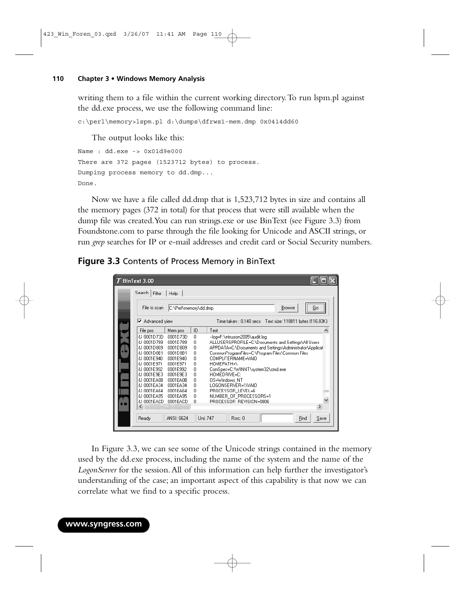writing them to a file within the current working directory.To run lspm.pl against the dd.exe process, we use the following command line:

c:\perl\memory>lspm.pl d:\dumps\dfrws1-mem.dmp 0x0414dd60

The output looks like this:

```
Name : dd.exe -> 0x01d9e000
There are 372 pages (1523712 bytes) to process.
Dumping process memory to dd.dmp...
Done.
```
Now we have a file called dd.dmp that is 1,523,712 bytes in size and contains all the memory pages (372 in total) for that process that were still available when the dump file was created.You can run strings.exe or use BinText (see Figure 3.3) from Foundstone.com to parse through the file looking for Unicode and ASCII strings, or run *grep* searches for IP or e-mail addresses and credit card or Social Security numbers.

#### **Figure 3.3** Contents of Process Memory in BinText

| т | BinText 3.00       |                       |          |                                                          |               |               |
|---|--------------------|-----------------------|----------|----------------------------------------------------------|---------------|---------------|
|   | Search<br>Filter   | Help                  |          |                                                          |               |               |
|   | File to scan       | C:\Perl\memory\dd.dmp |          |                                                          | <b>Browse</b> | <br>Go        |
|   | Advanced view<br>⊽ |                       |          | Time taken: 0.140 secs Text size: 118811 bytes (116.03K) |               |               |
|   | File pos           | Mem pos               | ID       | Text                                                     |               |               |
|   | LI 0001D73D        | 0001D73D              | 0        | --log=F:\intrusion2005\audit.log                         |               |               |
|   | t/ 0001D789        | 0001D789              | 0        | ALLUSERSPROFILE=C:\Documents and Settings\All Users      |               |               |
|   | LA 0001D809        | 0001D809              | 0        | APPDATA=C:\Documents and Settings\Administrator\Applical |               |               |
|   | LA 0001D8B1        | 0001D8B1              | 0        | CommonProgramFiles=C:\Program Files\Common Files         |               |               |
|   | LI 0001E940        | 0001E940              | 0        | COMPUTERNAME=VAIO                                        |               |               |
|   | LI 0001E971        | 0001E971              | n        | HOMEPATH=\                                               |               |               |
|   | 77.0001F992        | 0001E992              | 0        | ComSpec=C:\\WINNT\system32\cmd.exe                       |               |               |
|   | N 0001E9E3         | 0001F9F3              | n        | $HOMFDRIVE = C.$                                         |               |               |
|   | LI 0001EA0B        | 0001EA0B              | n        | 0S=Windows NT                                            |               |               |
|   | LI 0001EA34        | 0001EA34              | f)       | LOGONSERVER=\\VAIO                                       |               |               |
|   | LI 0001EA64        | 0001EA64              | 0        | PROCESSOR_LEVEL=6                                        |               |               |
|   | LI 0001EA95        | 0001EA95              | 0        | NUMBER OF PROCESSORS=1                                   |               |               |
|   | LI 0001EACD        | 0001EACD              | 0        | PROCESSOR REVISION=0806                                  |               |               |
|   | ≺                  | TITT                  |          |                                                          |               | $\rightarrow$ |
|   | Ready              | <b>ANSI: 6624</b>     | Uni: 747 | Bsrc: 0                                                  |               | Save<br>Find  |

In Figure 3.3, we can see some of the Unicode strings contained in the memory used by the dd.exe process, including the name of the system and the name of the *LogonServer* for the session.All of this information can help further the investigator's understanding of the case; an important aspect of this capability is that now we can correlate what we find to a specific process.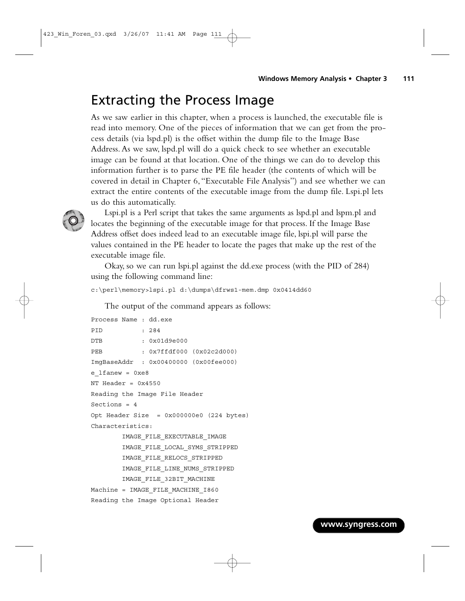# Extracting the Process Image

As we saw earlier in this chapter, when a process is launched, the executable file is read into memory. One of the pieces of information that we can get from the process details (via lspd.pl) is the offset within the dump file to the Image Base Address. As we saw, lspd.pl will do a quick check to see whether an executable image can be found at that location. One of the things we can do to develop this information further is to parse the PE file header (the contents of which will be covered in detail in Chapter 6,"Executable File Analysis") and see whether we can extract the entire contents of the executable image from the dump file. Lspi.pl lets us do this automatically.



Lspi.pl is a Perl script that takes the same arguments as lspd.pl and lspm.pl and locates the beginning of the executable image for that process. If the Image Base Address offset does indeed lead to an executable image file, lspi.pl will parse the values contained in the PE header to locate the pages that make up the rest of the executable image file.

Okay, so we can run lspi.pl against the dd.exe process (with the PID of 284) using the following command line:

```
c:\perl\memory>lspi.pl d:\dumps\dfrws1-mem.dmp 0x0414dd60
```
The output of the command appears as follows:

```
Process Name : dd.exe
PID : 284
DTB : 0x01d9e000
PEB : 0x7ffdf000 (0x02c2d000)
ImgBaseAddr : 0x00400000 (0x00fee000)
e_lfanew = 0xe8
NT Header = 0x4550Reading the Image File Header
Sections = 4
Opt Header Size = 0x000000e0 (224 bytes)
Characteristics:
       IMAGE_FILE_EXECUTABLE_IMAGE
       IMAGE_FILE_LOCAL_SYMS_STRIPPED
       IMAGE_FILE_RELOCS_STRIPPED
       IMAGE_FILE_LINE_NUMS_STRIPPED
       IMAGE_FILE_32BIT_MACHINE
Machine = IMAGE_FILE_MACHINE_I860
Reading the Image Optional Header
```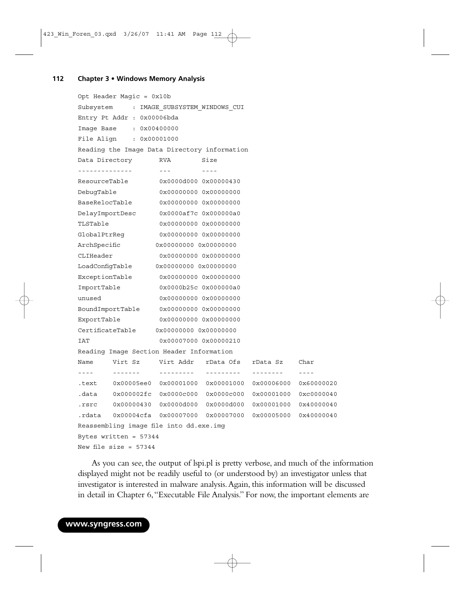#### **112 Chapter 3 • Windows Memory Analysis**

```
Opt Header Magic = 0x10b
Subsystem : IMAGE SUBSYSTEM WINDOWS CUI
Entry Pt Addr : 0x00006bda
Image Base : 0x00400000
File Align : 0x00001000
Reading the Image Data Directory information
Data Directory RVA Size
-------------- --- ----
ResourceTable 0x0000d000 0x00000430
DebugTable 0x00000000 0x00000000
BaseRelocTable 0x00000000 0x00000000
DelayImportDesc 0x0000af7c 0x000000a0
TLSTable 0x00000000 0x00000000
GlobalPtrReg 0x00000000 0x00000000
ArchSpecific 0x00000000 0x00000000
CLIHeader 0x00000000 0x00000000
LoadConfigTable 0x00000000 0x00000000
ExceptionTable 0x00000000 0x00000000
ImportTable 0x0000b25c 0x000000a0
unused 0x00000000 0x00000000
BoundImportTable 0x00000000 0x00000000
ExportTable 0x00000000 0x00000000
CertificateTable 0x00000000 0x00000000
IAT 0x00007000 0x00000210
Reading Image Section Header Information
Name Virt Sz Virt Addr rData Ofs rData Sz Char
---- ------- --------- --------- -------- ----
.text 0x00005ee0 0x00001000 0x00001000 0x00006000 0x60000020
.data 0x000002fc 0x0000c000 0x0000c000 0x00001000 0xc0000040
.rsrc 0x00000430 0x0000d000 0x0000d000 0x00001000 0x40000040
.rdata 0x00004cfa 0x00007000 0x00007000 0x00005000 0x40000040
Reassembling image file into dd.exe.img
Bytes written = 57344
New file size = 57344
```
As you can see, the output of lspi.pl is pretty verbose, and much of the information displayed might not be readily useful to (or understood by) an investigator unless that investigator is interested in malware analysis.Again, this information will be discussed in detail in Chapter 6,"Executable File Analysis." For now, the important elements are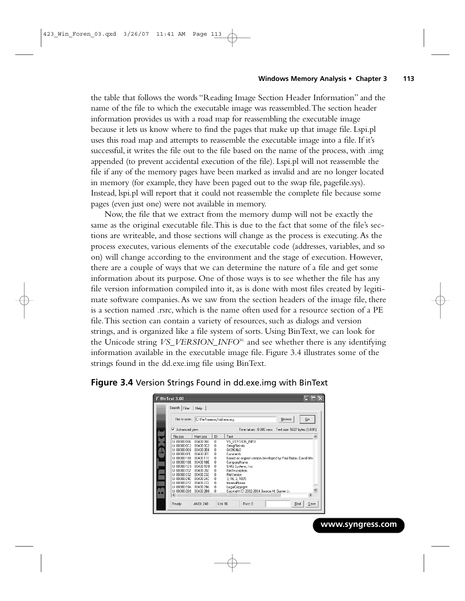the table that follows the words "Reading Image Section Header Information" and the name of the file to which the executable image was reassembled.The section header information provides us with a road map for reassembling the executable image because it lets us know where to find the pages that make up that image file. Lspi.pl uses this road map and attempts to reassemble the executable image into a file. If it's successful, it writes the file out to the file based on the name of the process, with .img appended (to prevent accidental execution of the file). Lspi.pl will not reassemble the file if any of the memory pages have been marked as invalid and are no longer located in memory (for example, they have been paged out to the swap file, pagefile.sys). Instead, lspi.pl will report that it could not reassemble the complete file because some pages (even just one) were not available in memory.

Now, the file that we extract from the memory dump will not be exactly the same as the original executable file.This is due to the fact that some of the file's sections are writeable, and those sections will change as the process is executing.As the process executes, various elements of the executable code (addresses, variables, and so on) will change according to the environment and the stage of execution. However, there are a couple of ways that we can determine the nature of a file and get some information about its purpose. One of those ways is to see whether the file has any file version information compiled into it, as is done with most files created by legitimate software companies.As we saw from the section headers of the image file, there is a section named .rsrc, which is the name often used for a resource section of a PE file.This section can contain a variety of resources, such as dialogs and version strings, and is organized like a file system of sorts. Using BinText, we can look for the Unicode string *VS\_VERSION\_INFO*30. and see whether there is any identifying information available in the executable image file. Figure 3.4 illustrates some of the strings found in the dd.exe.img file using BinText.

| BinText 3.00             |                           |          |                                                              |
|--------------------------|---------------------------|----------|--------------------------------------------------------------|
| Search   Filter          | Help                      |          |                                                              |
| File to scan             | C:\Perl\memory\dd.exe.img |          | Browse<br>Go                                                 |
| Advanced view<br>⊽       |                           |          | Time taken: 0.000 secs Text size: 5827 bytes (5.69K)         |
| File pos                 | Mem pos                   | ID       | Text                                                         |
| 72000000133              | 0040D066                  | n        | VS VERSION INFO                                              |
| t/ 0000D0C2              | 0040D0C2                  | 0        | StringFileInfo                                               |
| LI 0000D0E6              | 0040D0E6                  | 0        | 040904h0                                                     |
| LI 0000DOFE              | 0040D0FE                  | 0        | Comments                                                     |
| 77 00000110              | 0040D110                  | $\Omega$ | Based on original version developed by Paul Rubin, David Mar |
| LI 0000D1BE              | 0040D1BE                  | 0        | CompanyName                                                  |
| 44.000001D8              | 0040D1D8                  | 0        | GMG Systems, Inc.                                            |
| LI 0000D202              | 0040D202                  | 0        | FileDescription                                              |
| LL 0000D232              | 0040D232                  | 0        | FileVersion                                                  |
| LI 0000D24C              | 0040D24C                  | 0        | 3, 16, 2, 1035                                               |
| LI 0000D272              | 0040D272                  | 0        | InternalName                                                 |
| 77 0000029A              | 0040D29A                  | 0        | LegalCopyright                                               |
| LI 0000D2B8              | 0040D2B8                  | 0        | Copyright (C) 2002-2004 George M. Garner Jr.                 |
| $\overline{\phantom{a}}$ |                           |          | $\rightarrow$                                                |
| Ready                    | ANSI: 248                 | Llni: 96 | Bsrc: 0<br>Save<br>Find                                      |

#### **Figure 3.4** Version Strings Found in dd.exe.img with BinText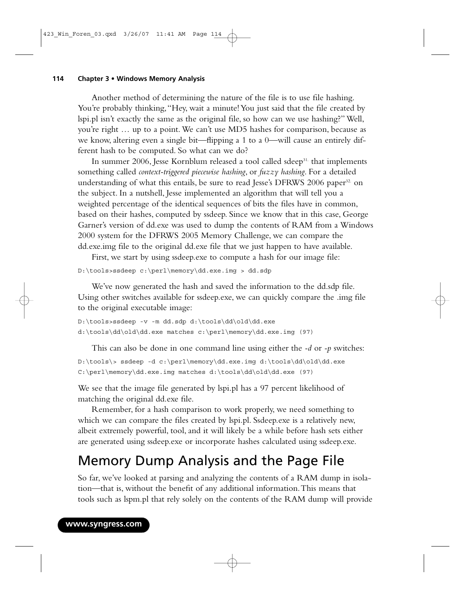Another method of determining the nature of the file is to use file hashing. You're probably thinking,"Hey, wait a minute! You just said that the file created by lspi.pl isn't exactly the same as the original file, so how can we use hashing?" Well, you're right … up to a point. We can't use MD5 hashes for comparison, because as we know, altering even a single bit—flipping a 1 to a 0—will cause an entirely different hash to be computed. So what can we do?

In summer 2006, Jesse Kornblum released a tool called sdeep<sup>31.</sup> that implements something called *context-triggered piecewise hashing*, or *fuzzy hashing*. For a detailed understanding of what this entails, be sure to read Jesse's DFRWS 2006 paper<sup>32</sup> on the subject. In a nutshell, Jesse implemented an algorithm that will tell you a weighted percentage of the identical sequences of bits the files have in common, based on their hashes, computed by ssdeep. Since we know that in this case, George Garner's version of dd.exe was used to dump the contents of RAM from a Windows 2000 system for the DFRWS 2005 Memory Challenge, we can compare the dd.exe.img file to the original dd.exe file that we just happen to have available.

First, we start by using ssdeep.exe to compute a hash for our image file:

```
D:\tools>ssdeep c:\perl\memory\dd.exe.img > dd.sdp
```
We've now generated the hash and saved the information to the dd.sdp file. Using other switches available for ssdeep.exe, we can quickly compare the .img file to the original executable image:

```
D:\tools>ssdeep -v -m dd.sdp d:\tools\dd\old\dd.exe
d:\tools\dd\old\dd.exe matches c:\perl\memory\dd.exe.img (97)
```
This can also be done in one command line using either the *-d* or *-p* switches:

```
D:\tools\> ssdeep -d c:\perl\memory\dd.exe.img d:\tools\dd\old\dd.exe
C:\perl\memory\dd.exe.img matches d:\tools\dd\old\dd.exe (97)
```
We see that the image file generated by lspi.pl has a 97 percent likelihood of matching the original dd.exe file.

Remember, for a hash comparison to work properly, we need something to which we can compare the files created by lspi.pl. Ssdeep.exe is a relatively new, albeit extremely powerful, tool, and it will likely be a while before hash sets either are generated using ssdeep.exe or incorporate hashes calculated using ssdeep.exe.

# Memory Dump Analysis and the Page File

So far, we've looked at parsing and analyzing the contents of a RAM dump in isolation—that is, without the benefit of any additional information.This means that tools such as lspm.pl that rely solely on the contents of the RAM dump will provide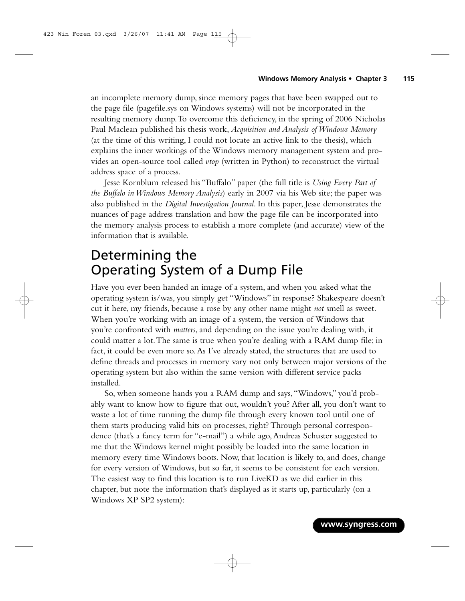an incomplete memory dump, since memory pages that have been swapped out to the page file (pagefile.sys on Windows systems) will not be incorporated in the resulting memory dump.To overcome this deficiency, in the spring of 2006 Nicholas Paul Maclean published his thesis work, *Acquisition and Analysis of Windows Memory* (at the time of this writing, I could not locate an active link to the thesis), which explains the inner workings of the Windows memory management system and provides an open-source tool called *vtop* (written in Python) to reconstruct the virtual address space of a process.

Jesse Kornblum released his "Buffalo" paper (the full title is *Using Every Part of the Buffalo in Windows Memory Analysis*) early in 2007 via his Web site; the paper was also published in the *Digital Investigation Journal*. In this paper, Jesse demonstrates the nuances of page address translation and how the page file can be incorporated into the memory analysis process to establish a more complete (and accurate) view of the information that is available.

# Determining the Operating System of a Dump File

Have you ever been handed an image of a system, and when you asked what the operating system is/was, you simply get "Windows" in response? Shakespeare doesn't cut it here, my friends, because a rose by any other name might *not* smell as sweet. When you're working with an image of a system, the version of Windows that you're confronted with *matters*, and depending on the issue you're dealing with, it could matter a lot.The same is true when you're dealing with a RAM dump file; in fact, it could be even more so.As I've already stated, the structures that are used to define threads and processes in memory vary not only between major versions of the operating system but also within the same version with different service packs installed.

So, when someone hands you a RAM dump and says,"Windows," you'd probably want to know how to figure that out, wouldn't you? After all, you don't want to waste a lot of time running the dump file through every known tool until one of them starts producing valid hits on processes, right? Through personal correspondence (that's a fancy term for "e-mail") a while ago,Andreas Schuster suggested to me that the Windows kernel might possibly be loaded into the same location in memory every time Windows boots. Now, that location is likely to, and does, change for every version of Windows, but so far, it seems to be consistent for each version. The easiest way to find this location is to run LiveKD as we did earlier in this chapter, but note the information that's displayed as it starts up, particularly (on a Windows XP SP2 system):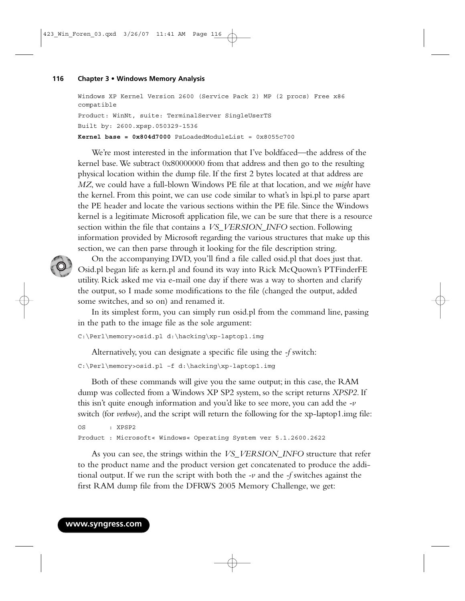```
Windows XP Kernel Version 2600 (Service Pack 2) MP (2 procs) Free x86
compatible
Product: WinNt, suite: TerminalServer SingleUserTS
Built by: 2600.xpsp.050329-1536
Kernel base = 0x804d7000 PsLoadedModuleList = 0x8055c700
```
We're most interested in the information that I've boldfaced—the address of the kernel base. We subtract 0x80000000 from that address and then go to the resulting physical location within the dump file. If the first 2 bytes located at that address are *MZ*, we could have a full-blown Windows PE file at that location, and we *might* have the kernel. From this point, we can use code similar to what's in lspi.pl to parse apart the PE header and locate the various sections within the PE file. Since the Windows kernel is a legitimate Microsoft application file, we can be sure that there is a resource section within the file that contains a *VS\_VERSION\_INFO* section. Following information provided by Microsoft regarding the various structures that make up this section, we can then parse through it looking for the file description string.



On the accompanying DVD, you'll find a file called osid.pl that does just that. Osid.pl began life as kern.pl and found its way into Rick McQuown's PTFinderFE utility. Rick asked me via e-mail one day if there was a way to shorten and clarify the output, so I made some modifications to the file (changed the output, added some switches, and so on) and renamed it.

In its simplest form, you can simply run osid.pl from the command line, passing in the path to the image file as the sole argument:

C:\Perl\memory>osid.pl d:\hacking\xp-laptop1.img

Alternatively, you can designate a specific file using the *-f* switch:

C:\Perl\memory>osid.pl –f d:\hacking\xp-laptop1.img

Both of these commands will give you the same output; in this case, the RAM dump was collected from a Windows XP SP2 system, so the script returns *XPSP2*. If this isn't quite enough information and you'd like to see more, you can add the *-v* switch (for *verbose*), and the script will return the following for the xp-laptop1.img file:

```
OS : XPSP2
Product : Microsoft« Windows« Operating System ver 5.1.2600.2622
```
As you can see, the strings within the *VS\_VERSION\_INFO* structure that refer to the product name and the product version get concatenated to produce the additional output. If we run the script with both the *-v* and the *-f* switches against the first RAM dump file from the DFRWS 2005 Memory Challenge, we get: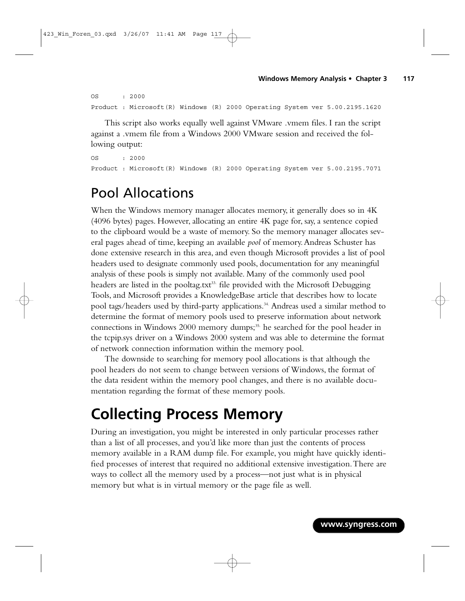```
OS : 2000
Product : Microsoft(R) Windows (R) 2000 Operating System ver 5.00.2195.1620
```
This script also works equally well against VMware .vmem files. I ran the script against a .vmem file from a Windows 2000 VMware session and received the following output:

OS : 2000 Product : Microsoft(R) Windows (R) 2000 Operating System ver 5.00.2195.7071

# Pool Allocations

When the Windows memory manager allocates memory, it generally does so in 4K (4096 bytes) pages. However, allocating an entire 4K page for, say, a sentence copied to the clipboard would be a waste of memory. So the memory manager allocates several pages ahead of time, keeping an available *pool* of memory.Andreas Schuster has done extensive research in this area, and even though Microsoft provides a list of pool headers used to designate commonly used pools, documentation for any meaningful analysis of these pools is simply not available. Many of the commonly used pool headers are listed in the pooltag.txt<sup>33</sup> file provided with the Microsoft Debugging Tools, and Microsoft provides a KnowledgeBase article that describes how to locate pool tags/headers used by third-party applications.<sup>34</sup> Andreas used a similar method to determine the format of memory pools used to preserve information about network connections in Windows 2000 memory dumps; $35$  he searched for the pool header in the tcpip.sys driver on a Windows 2000 system and was able to determine the format of network connection information within the memory pool.

The downside to searching for memory pool allocations is that although the pool headers do not seem to change between versions of Windows, the format of the data resident within the memory pool changes, and there is no available documentation regarding the format of these memory pools.

# **Collecting Process Memory**

During an investigation, you might be interested in only particular processes rather than a list of all processes, and you'd like more than just the contents of process memory available in a RAM dump file. For example, you might have quickly identified processes of interest that required no additional extensive investigation.There are ways to collect all the memory used by a process—not just what is in physical memory but what is in virtual memory or the page file as well.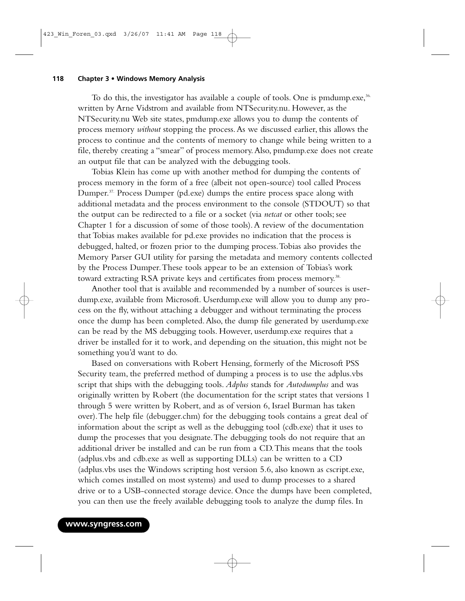To do this, the investigator has available a couple of tools. One is pmdump.exe,  $36$ . written by Arne Vidstrom and available from NTSecurity.nu. However, as the NTSecurity.nu Web site states, pmdump.exe allows you to dump the contents of process memory *without* stopping the process.As we discussed earlier, this allows the process to continue and the contents of memory to change while being written to a file, thereby creating a "smear" of process memory.Also, pmdump.exe does not create an output file that can be analyzed with the debugging tools.

Tobias Klein has come up with another method for dumping the contents of process memory in the form of a free (albeit not open-source) tool called Process Dumper.<sup>37</sup>. Process Dumper (pd.exe) dumps the entire process space along with additional metadata and the process environment to the console (STDOUT) so that the output can be redirected to a file or a socket (via *netcat* or other tools; see Chapter 1 for a discussion of some of those tools).A review of the documentation that Tobias makes available for pd.exe provides no indication that the process is debugged, halted, or frozen prior to the dumping process.Tobias also provides the Memory Parser GUI utility for parsing the metadata and memory contents collected by the Process Dumper.These tools appear to be an extension of Tobias's work toward extracting RSA private keys and certificates from process memory.<sup>38.</sup>

Another tool that is available and recommended by a number of sources is userdump.exe, available from Microsoft. Userdump.exe will allow you to dump any process on the fly, without attaching a debugger and without terminating the process once the dump has been completed.Also, the dump file generated by userdump.exe can be read by the MS debugging tools. However, userdump.exe requires that a driver be installed for it to work, and depending on the situation, this might not be something you'd want to do.

Based on conversations with Robert Hensing, formerly of the Microsoft PSS Security team, the preferred method of dumping a process is to use the adplus.vbs script that ships with the debugging tools. *Adplus* stands for *Autodumplus* and was originally written by Robert (the documentation for the script states that versions 1 through 5 were written by Robert, and as of version 6, Israel Burman has taken over).The help file (debugger.chm) for the debugging tools contains a great deal of information about the script as well as the debugging tool (cdb.exe) that it uses to dump the processes that you designate.The debugging tools do not require that an additional driver be installed and can be run from a CD.This means that the tools (adplus.vbs and cdb.exe as well as supporting DLLs) can be written to a CD (adplus.vbs uses the Windows scripting host version 5.6, also known as cscript.exe, which comes installed on most systems) and used to dump processes to a shared drive or to a USB-connected storage device. Once the dumps have been completed, you can then use the freely available debugging tools to analyze the dump files. In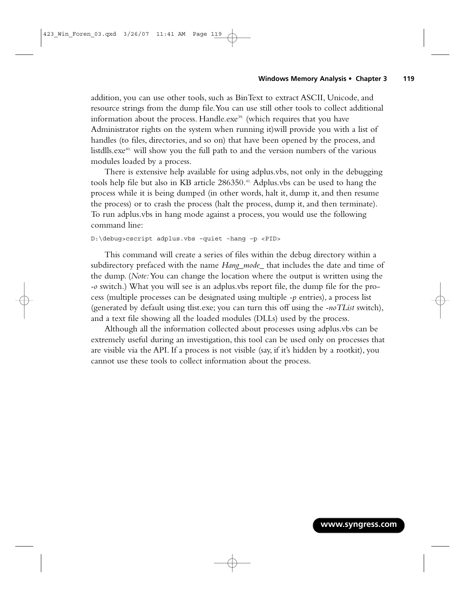addition, you can use other tools, such as BinText to extract ASCII, Unicode, and resource strings from the dump file.You can use still other tools to collect additional information about the process. Handle.exe<sup>39.</sup> (which requires that you have Administrator rights on the system when running it)will provide you with a list of handles (to files, directories, and so on) that have been opened by the process, and listdlls.exe<sup>40</sup> will show you the full path to and the version numbers of the various modules loaded by a process.

There is extensive help available for using adplus.vbs, not only in the debugging tools help file but also in KB article 286350.41. Adplus.vbs can be used to hang the process while it is being dumped (in other words, halt it, dump it, and then resume the process) or to crash the process (halt the process, dump it, and then terminate). To run adplus.vbs in hang mode against a process, you would use the following command line:

```
D:\debug>cscript adplus.vbs –quiet –hang –p <PID>
```
This command will create a series of files within the debug directory within a subdirectory prefaced with the name *Hang\_mode\_* that includes the date and time of the dump. (*Note:*You can change the location where the output is written using the *-o* switch.) What you will see is an adplus.vbs report file, the dump file for the process (multiple processes can be designated using multiple *-p* entries), a process list (generated by default using tlist.exe; you can turn this off using the *-noTList* switch), and a text file showing all the loaded modules (DLLs) used by the process.

Although all the information collected about processes using adplus.vbs can be extremely useful during an investigation, this tool can be used only on processes that are visible via the API. If a process is not visible (say, if it's hidden by a rootkit), you cannot use these tools to collect information about the process.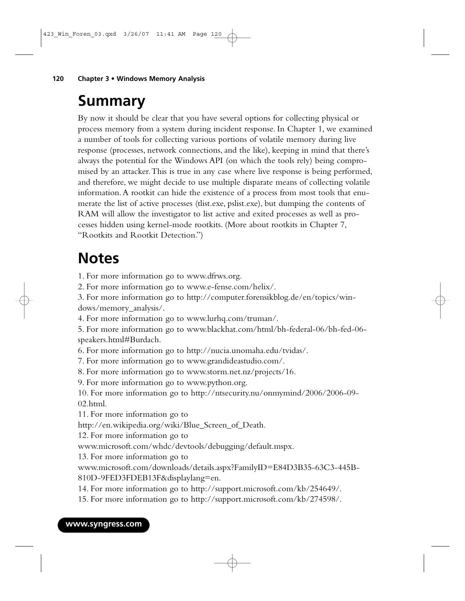# **Summary**

By now it should be clear that you have several options for collecting physical or process memory from a system during incident response. In Chapter 1, we examined a number of tools for collecting various portions of volatile memory during live response (processes, network connections, and the like), keeping in mind that there's always the potential for the Windows API (on which the tools rely) being compromised by an attacker.This is true in any case where live response is being performed, and therefore, we might decide to use multiple disparate means of collecting volatile information.A rootkit can hide the existence of a process from most tools that enumerate the list of active processes (tlist.exe, pslist.exe), but dumping the contents of RAM will allow the investigator to list active and exited processes as well as processes hidden using kernel-mode rootkits. (More about rootkits in Chapter 7, "Rootkits and Rootkit Detection.")

# **Notes**

1. For more information go to www.dfrws.org.

2. For more information go to www.e-fense.com/helix/.

3. For more information go to http://computer.forensikblog.de/en/topics/windows/memory\_analysis/.

4. For more information go to www.lurhq.com/truman/.

5. For more information go to www.blackhat.com/html/bh-federal-06/bh-fed-06 speakers.html#Burdach.

6. For more information go to http://nucia.unomaha.edu/tvidas/.

7. For more information go to www.grandideastudio.com/.

8. For more information go to www.storm.net.nz/projects/16.

9. For more information go to www.python.org.

10. For more information go to http://ntsecurity.nu/onmymind/2006/2006-09- 02.html.

11. For more information go to

http://en.wikipedia.org/wiki/Blue\_Screen\_of\_Death.

12. For more information go to

www.microsoft.com/whdc/devtools/debugging/default.mspx.

13. For more information go to

www.microsoft.com/downloads/details.aspx?FamilyID=E84D3B35-63C3-445B-

810D-9FED3FDEB13F&displaylang=en.

14. For more information go to http://support.microsoft.com/kb/254649/.

15. For more information go to http://support.microsoft.com/kb/274598/.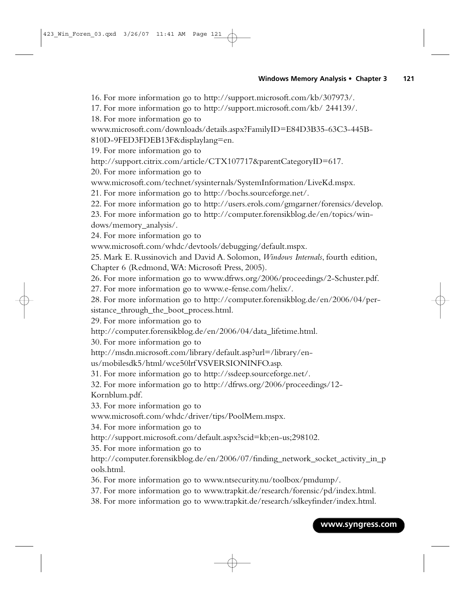16. For more information go to http://support.microsoft.com/kb/307973/.

17. For more information go to http://support.microsoft.com/kb/ 244139/.

18. For more information go to

www.microsoft.com/downloads/details.aspx?FamilyID=E84D3B35-63C3-445B-

810D-9FED3FDEB13F&displaylang=en.

19. For more information go to

http://support.citrix.com/article/CTX107717&parentCategoryID=617.

20. For more information go to

www.microsoft.com/technet/sysinternals/SystemInformation/LiveKd.mspx.

21. For more information go to http://bochs.sourceforge.net/.

22. For more information go to http://users.erols.com/gmgarner/forensics/develop.

23. For more information go to http://computer.forensikblog.de/en/topics/windows/memory\_analysis/.

24. For more information go to

www.microsoft.com/whdc/devtools/debugging/default.mspx.

25. Mark E. Russinovich and David A. Solomon, *Windows Internals*, fourth edition, Chapter 6 (Redmond, WA: Microsoft Press, 2005).

26. For more information go to www.dfrws.org/2006/proceedings/2-Schuster.pdf.

27. For more information go to www.e-fense.com/helix/.

28. For more information go to http://computer.forensikblog.de/en/2006/04/persistance\_through\_the\_boot\_process.html.

29. For more information go to

http://computer.forensikblog.de/en/2006/04/data\_lifetime.html.

30. For more information go to

http://msdn.microsoft.com/library/default.asp?url=/library/en-

us/mobilesdk5/html/wce50lrf VSVERSIONINFO.asp.

31. For more information go to http://ssdeep.sourceforge.net/.

32. For more information go to http://dfrws.org/2006/proceedings/12- Kornblum.pdf.

33. For more information go to

www.microsoft.com/whdc/driver/tips/PoolMem.mspx.

34. For more information go to

http://support.microsoft.com/default.aspx?scid=kb;en-us;298102.

35. For more information go to

http://computer.forensikblog.de/en/2006/07/finding\_network\_socket\_activity\_in\_p ools.html.

36. For more information go to www.ntsecurity.nu/toolbox/pmdump/.

37. For more information go to www.trapkit.de/research/forensic/pd/index.html.

38. For more information go to www.trapkit.de/research/sslkeyfinder/index.html.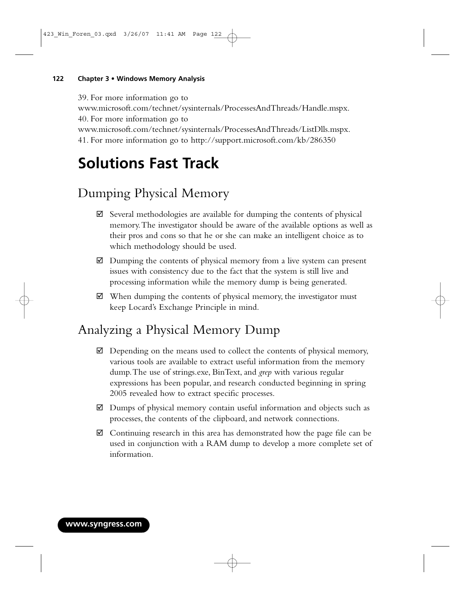39. For more information go to www.microsoft.com/technet/sysinternals/ProcessesAndThreads/Handle.mspx. 40. For more information go to www.microsoft.com/technet/sysinternals/ProcessesAndThreads/ListDlls.mspx. 41. For more information go to http://support.microsoft.com/kb/286350

# **Solutions Fast Track**

## Dumping Physical Memory

- $\boxtimes$  Several methodologies are available for dumping the contents of physical memory.The investigator should be aware of the available options as well as their pros and cons so that he or she can make an intelligent choice as to which methodology should be used.
- $\boxtimes$  Dumping the contents of physical memory from a live system can present issues with consistency due to the fact that the system is still live and processing information while the memory dump is being generated.
- $\boxtimes$  When dumping the contents of physical memory, the investigator must keep Locard's Exchange Principle in mind.

### Analyzing a Physical Memory Dump

- $\boxtimes$  Depending on the means used to collect the contents of physical memory, various tools are available to extract useful information from the memory dump.The use of strings.exe, BinText, and *grep* with various regular expressions has been popular, and research conducted beginning in spring 2005 revealed how to extract specific processes.
- $\boxtimes$  Dumps of physical memory contain useful information and objects such as processes, the contents of the clipboard, and network connections.
- $\boxtimes$  Continuing research in this area has demonstrated how the page file can be used in conjunction with a RAM dump to develop a more complete set of information.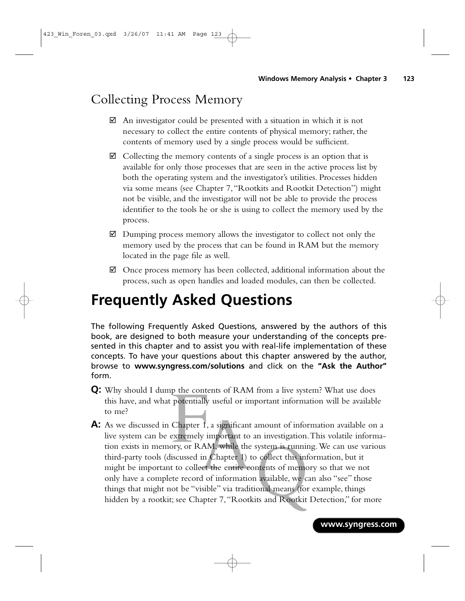## Collecting Process Memory

- $\boxtimes$  An investigator could be presented with a situation in which it is not necessary to collect the entire contents of physical memory; rather, the contents of memory used by a single process would be sufficient.
- $\boxtimes$  Collecting the memory contents of a single process is an option that is available for only those processes that are seen in the active process list by both the operating system and the investigator's utilities. Processes hidden via some means (see Chapter 7,"Rootkits and Rootkit Detection") might not be visible, and the investigator will not be able to provide the process identifier to the tools he or she is using to collect the memory used by the process.
- $\boxtimes$  Dumping process memory allows the investigator to collect not only the memory used by the process that can be found in RAM but the memory located in the page file as well.
- $\boxtimes$  Once process memory has been collected, additional information about the process, such as open handles and loaded modules, can then be collected.

# **Frequently Asked Questions**

The following Frequently Asked Questions, answered by the authors of this book, are designed to both measure your understanding of the concepts presented in this chapter and to assist you with real-life implementation of these concepts. To have your questions about this chapter answered by the author, browse to **www.syngress.com/solutions** and click on the **"Ask the Author"** form.

- **Q:** Why should I dump the contents of RAM from a live system? What use does this have, and what potentially useful or important information will be available to me?
- **A:** As we discussed in Chapter 1, a significant amount of information available on a live system can be extremely important to an investigation.This volatile information exists in memory, or RAM, while the system is running. We can use various third-party tools (discussed in Chapter 1) to collect this information, but it might be important to collect the entire contents of memory so that we not only have a complete record of information available, we can also "see" those things that might not be "visible" via traditional means (for example, things hidden by a rootkit; see Chapter 7,"Rootkits and Rootkit Detection," for more